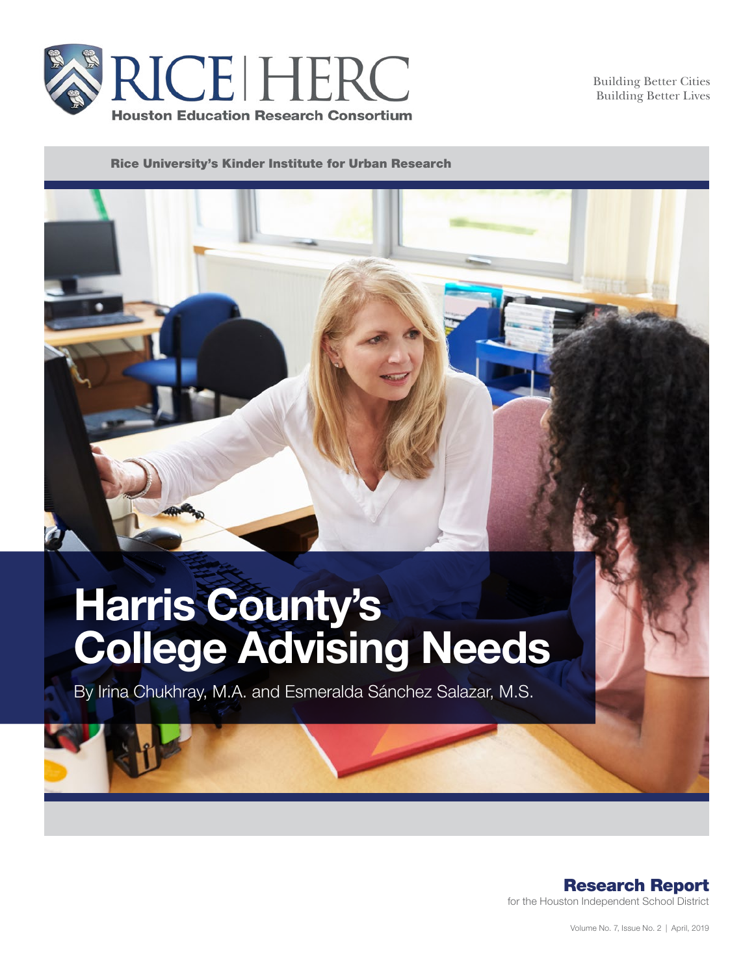

Building Better Cities Building Better Lives

Rice University's Kinder Institute for Urban Research

## Harris County's College Advising Needs

By Irina Chukhray, M.A. and Esmeralda Sánchez Salazar, M.S.

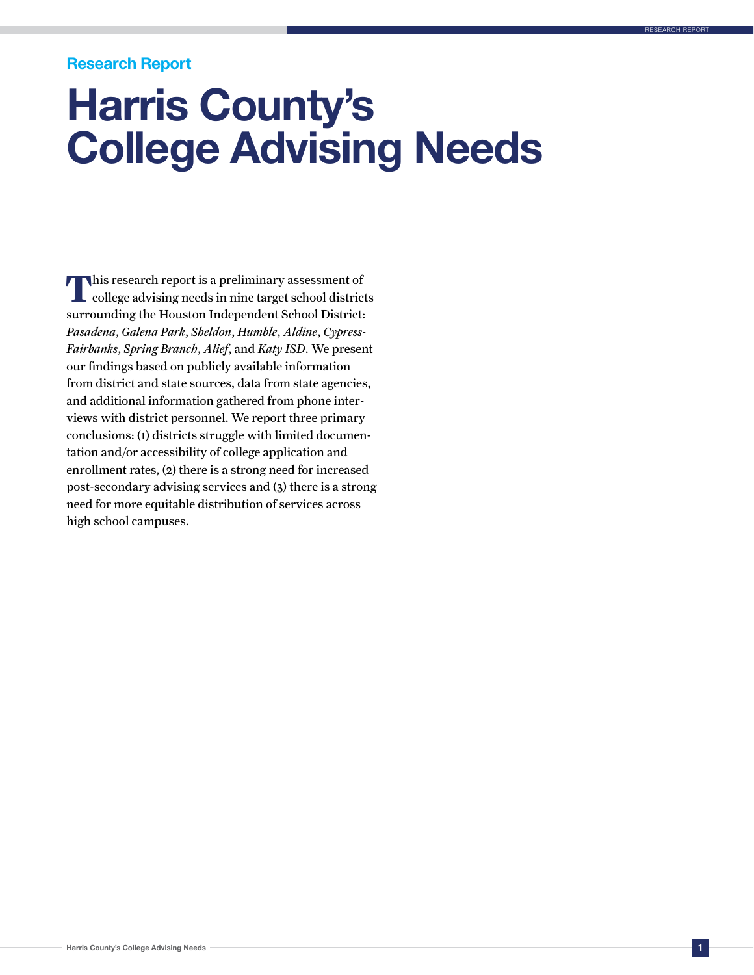### Research Report

## Harris County's College Advising Needs

This research report is a preliminary assessment of college advising needs in nine target school districts surrounding the Houston Independent School District: *Pasadena*, *Galena Park*, *Sheldon*, *Humble*, *Aldine*, *Cypress-Fairbanks*, *Spring Branch*, *Alief*, and *Katy ISD*. We present our findings based on publicly available information from district and state sources, data from state agencies, and additional information gathered from phone interviews with district personnel. We report three primary conclusions: (1) districts struggle with limited documentation and/or accessibility of college application and enrollment rates, (2) there is a strong need for increased post-secondary advising services and (3) there is a strong need for more equitable distribution of services across high school campuses.

RESEARCH REPORT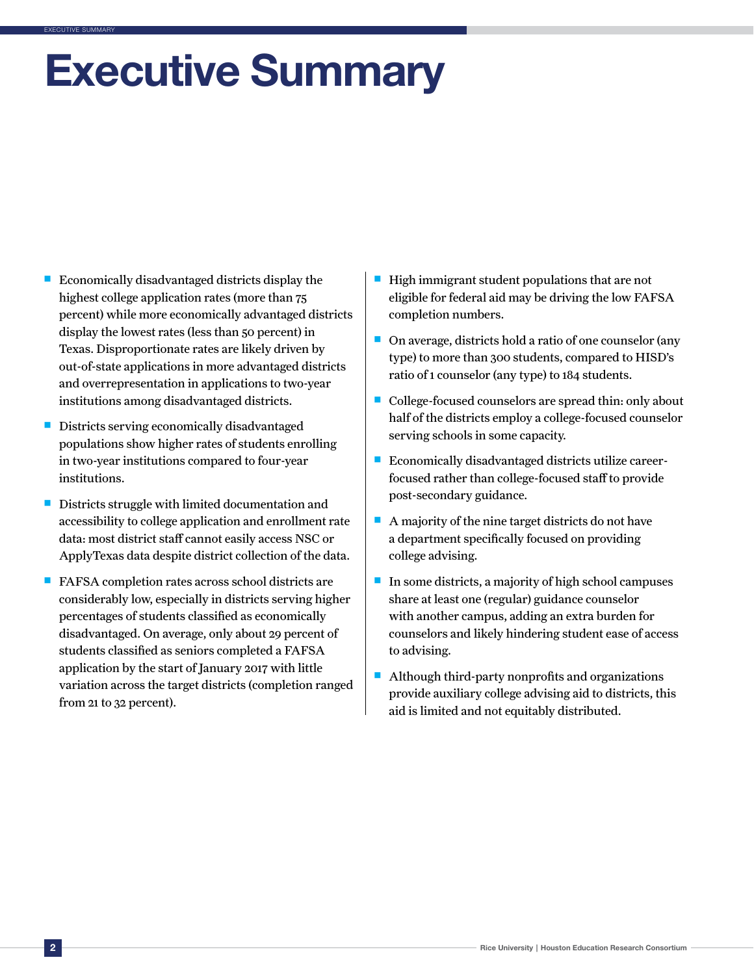## Executive Summary

- $\blacksquare$  Economically disadvantaged districts display the highest college application rates (more than 75 percent) while more economically advantaged districts display the lowest rates (less than 50 percent) in Texas. Disproportionate rates are likely driven by out-of-state applications in more advantaged districts and overrepresentation in applications to two-year institutions among disadvantaged districts.
- ! Districts serving economically disadvantaged populations show higher rates of students enrolling in two-year institutions compared to four-year institutions.
- **Districts struggle with limited documentation and** accessibility to college application and enrollment rate data: most district staff cannot easily access NSC or ApplyTexas data despite district collection of the data.
- FAFSA completion rates across school districts are considerably low, especially in districts serving higher percentages of students classified as economically disadvantaged. On average, only about 29 percent of students classified as seniors completed a FAFSA application by the start of January 2017 with little variation across the target districts (completion ranged from 21 to 32 percent).
- ! High immigrant student populations that are not eligible for federal aid may be driving the low FAFSA completion numbers.
- On average, districts hold a ratio of one counselor (any type) to more than 300 students, compared to HISD's ratio of 1 counselor (any type) to 184 students.
- College-focused counselors are spread thin: only about half of the districts employ a college-focused counselor serving schools in some capacity.
- Economically disadvantaged districts utilize careerfocused rather than college-focused staff to provide post-secondary guidance.
- $\blacksquare$  A majority of the nine target districts do not have a department specifically focused on providing college advising.
- **IF** In some districts, a majority of high school campuses share at least one (regular) guidance counselor with another campus, adding an extra burden for counselors and likely hindering student ease of access to advising.
- $\blacksquare$  Although third-party nonprofits and organizations provide auxiliary college advising aid to districts, this aid is limited and not equitably distributed.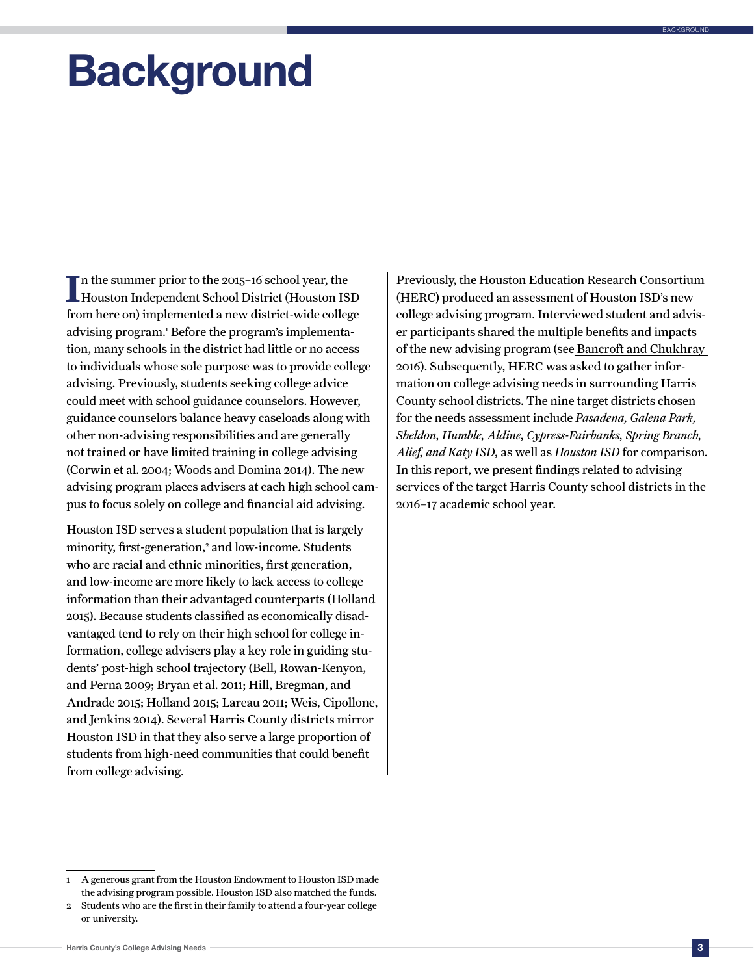# **Background**

In the summer prior to the 2015–16 school year, the Houston Independent School District (Houston IS Houston Independent School District (Houston ISD from here on) implemented a new district-wide college advising program.<sup>1</sup> Before the program's implementation, many schools in the district had little or no access to individuals whose sole purpose was to provide college advising. Previously, students seeking college advice could meet with school guidance counselors. However, guidance counselors balance heavy caseloads along with other non-advising responsibilities and are generally not trained or have limited training in college advising (Corwin et al. 2004; Woods and Domina 2014). The new advising program places advisers at each high school campus to focus solely on college and financial aid advising.

Houston ISD serves a student population that is largely minority, first-generation,<sup>2</sup> and low-income. Students who are racial and ethnic minorities, first generation, and low-income are more likely to lack access to college information than their advantaged counterparts (Holland 2015). Because students classified as economically disadvantaged tend to rely on their high school for college information, college advisers play a key role in guiding students' post-high school trajectory (Bell, Rowan-Kenyon, and Perna 2009; Bryan et al. 2011; Hill, Bregman, and Andrade 2015; Holland 2015; Lareau 2011; Weis, Cipollone, and Jenkins 2014). Several Harris County districts mirror Houston ISD in that they also serve a large proportion of students from high-need communities that could benefit from college advising.

Previously, the Houston Education Research Consortium (HERC) produced an assessment of Houston ISD's new college advising program. Interviewed student and adviser participants shared the multiple benefits and impacts of the new advising program (see [Bancroft and Chukhray](https://kinder.rice.edu/sites/g/files/bxs1676/f/documents/2016V4I8.BANCROFT_CAPI.pdf)  [2016](https://kinder.rice.edu/sites/g/files/bxs1676/f/documents/2016V4I8.BANCROFT_CAPI.pdf)). Subsequently, HERC was asked to gather information on college advising needs in surrounding Harris County school districts. The nine target districts chosen for the needs assessment include *Pasadena, Galena Park, Sheldon, Humble, Aldine, Cypress-Fairbanks, Spring Branch, Alief, and Katy ISD,* as well as *Houston ISD* for comparison*.* In this report, we present findings related to advising services of the target Harris County school districts in the 2016–17 academic school year.

<sup>1</sup> A generous grant from the Houston Endowment to Houston ISD made the advising program possible. Houston ISD also matched the funds.

<sup>2</sup> Students who are the first in their family to attend a four-year college or university.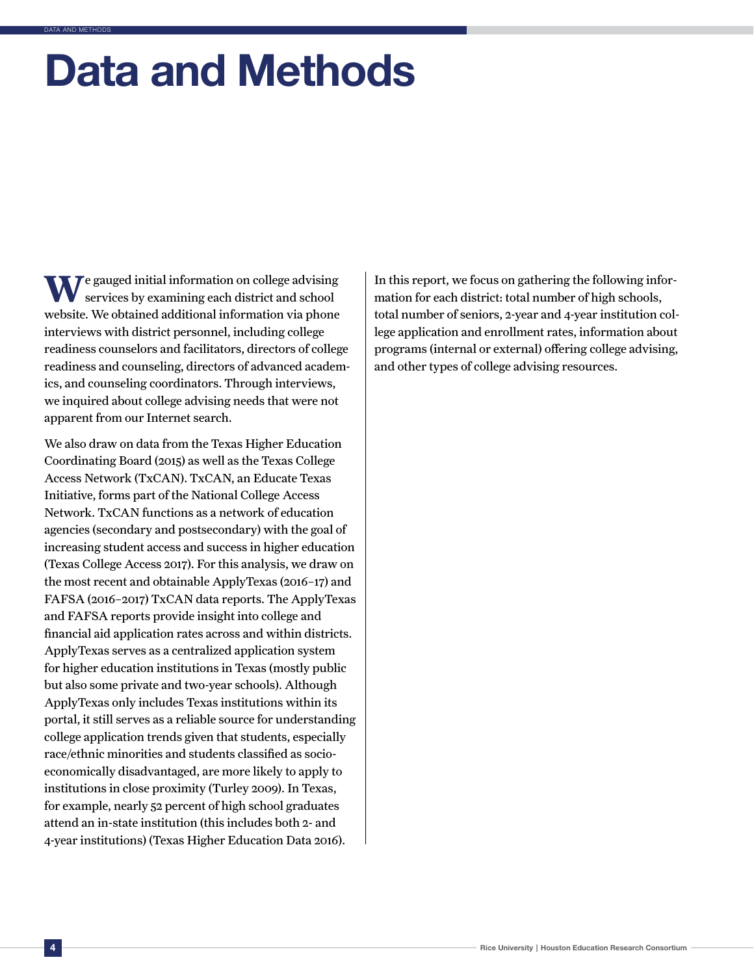## Data and Methods

**V**e gauged initial information on college advising services by examining each district and school website. We obtained additional information via phone interviews with district personnel, including college readiness counselors and facilitators, directors of college readiness and counseling, directors of advanced academics, and counseling coordinators. Through interviews, we inquired about college advising needs that were not apparent from our Internet search.

We also draw on data from the Texas Higher Education Coordinating Board (2015) as well as the [Texas College](mailto:http://www.texascollegeaccess.org)  [Access Network \(TxCAN\).](mailto:http://www.texascollegeaccess.org) TxCAN, an Educate Texas Initiative, forms part of the National College Access Network. TxCAN functions as a network of education agencies (secondary and postsecondary) with the goal of increasing student access and success in higher education (Texas College Access 2017). For this analysis, we draw on the most recent and obtainable ApplyTexas (2016–17) and FAFSA (2016–2017) TxCAN data reports. The ApplyTexas and FAFSA reports provide insight into college and financial aid application rates across and within districts. ApplyTexas serves as a centralized application system for higher education institutions in Texas (mostly public but also some private and two-year schools). Although ApplyTexas only includes Texas institutions within its portal, it still serves as a reliable source for understanding college application trends given that students, especially race/ethnic minorities and students classified as socioeconomically disadvantaged, are more likely to apply to institutions in close proximity (Turley 2009). In Texas, for example, nearly 52 percent of high school graduates attend an in-state institution (this includes both 2- and 4-year institutions) (Texas Higher Education Data 2016).

In this report, we focus on gathering the following information for each district: total number of high schools, total number of seniors, 2-year and 4-year institution college application and enrollment rates, information about programs (internal or external) offering college advising, and other types of college advising resources.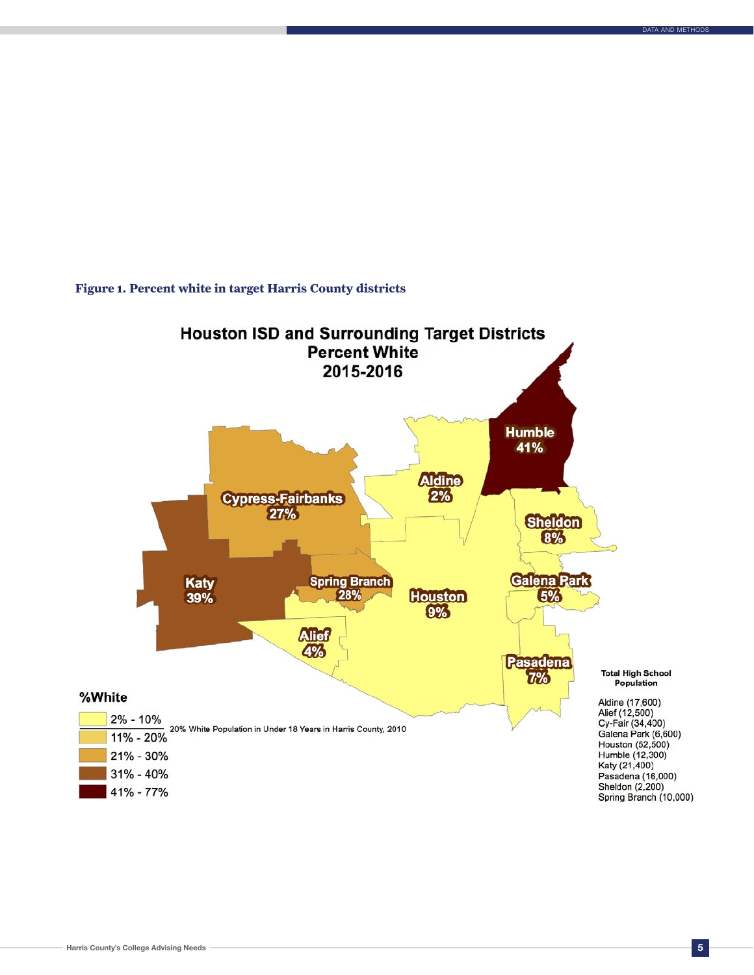

#### **Figure 1. Percent white in target Harris County districts**

DATA AND METHODS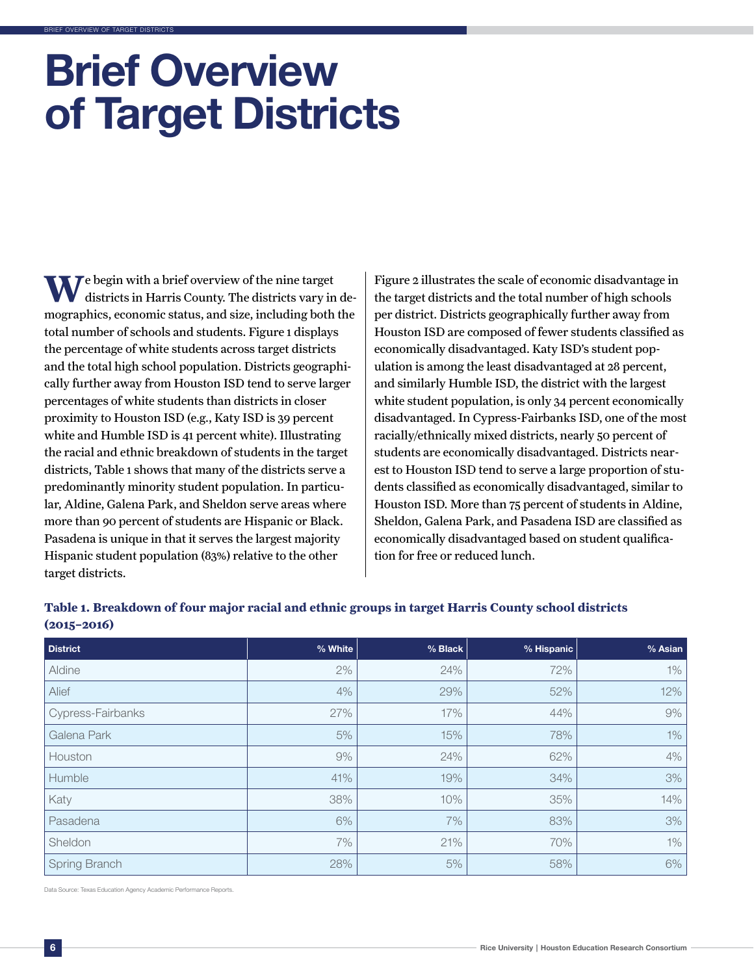## Brief Overview of Target Districts

**T** e begin with a brief overview of the nine target districts in Harris County. The districts vary in demographics, economic status, and size, including both the total number of schools and students. Figure 1 displays the percentage of white students across target districts and the total high school population. Districts geographically further away from Houston ISD tend to serve larger percentages of white students than districts in closer proximity to Houston ISD (e.g., Katy ISD is 39 percent white and Humble ISD is 41 percent white). Illustrating the racial and ethnic breakdown of students in the target districts, Table 1 shows that many of the districts serve a predominantly minority student population. In particular, Aldine, Galena Park, and Sheldon serve areas where more than 90 percent of students are Hispanic or Black. Pasadena is unique in that it serves the largest majority Hispanic student population (83%) relative to the other target districts.

Figure 2 illustrates the scale of economic disadvantage in the target districts and the total number of high schools per district. Districts geographically further away from Houston ISD are composed of fewer students classified as economically disadvantaged. Katy ISD's student population is among the least disadvantaged at 28 percent, and similarly Humble ISD, the district with the largest white student population, is only 34 percent economically disadvantaged. In Cypress-Fairbanks ISD, one of the most racially/ethnically mixed districts, nearly 50 percent of students are economically disadvantaged. Districts nearest to Houston ISD tend to serve a large proportion of students classified as economically disadvantaged, similar to Houston ISD. More than 75 percent of students in Aldine, Sheldon, Galena Park, and Pasadena ISD are classified as economically disadvantaged based on student qualification for free or reduced lunch.

| <b>District</b>   | % White | % Black | % Hispanic | % Asian |
|-------------------|---------|---------|------------|---------|
| Aldine            | 2%      | 24%     | 72%        | 1%      |
| Alief             | 4%      | 29%     | 52%        | 12%     |
| Cypress-Fairbanks | 27%     | 17%     | 44%        | 9%      |
| Galena Park       | 5%      | 15%     | 78%        | 1%      |
| Houston           | 9%      | 24%     | 62%        | 4%      |
| Humble            | 41%     | 19%     | 34%        | 3%      |
| Katy              | 38%     | 10%     | 35%        | 14%     |
| Pasadena          | 6%      | 7%      | 83%        | 3%      |
| Sheldon           | 7%      | 21%     | 70%        | 1%      |
| Spring Branch     | 28%     | 5%      | 58%        | 6%      |

#### **Table 1. Breakdown of four major racial and ethnic groups in target Harris County school districts (2015–2016)**

Data Source: Texas Education Agency Academic Performance Reports.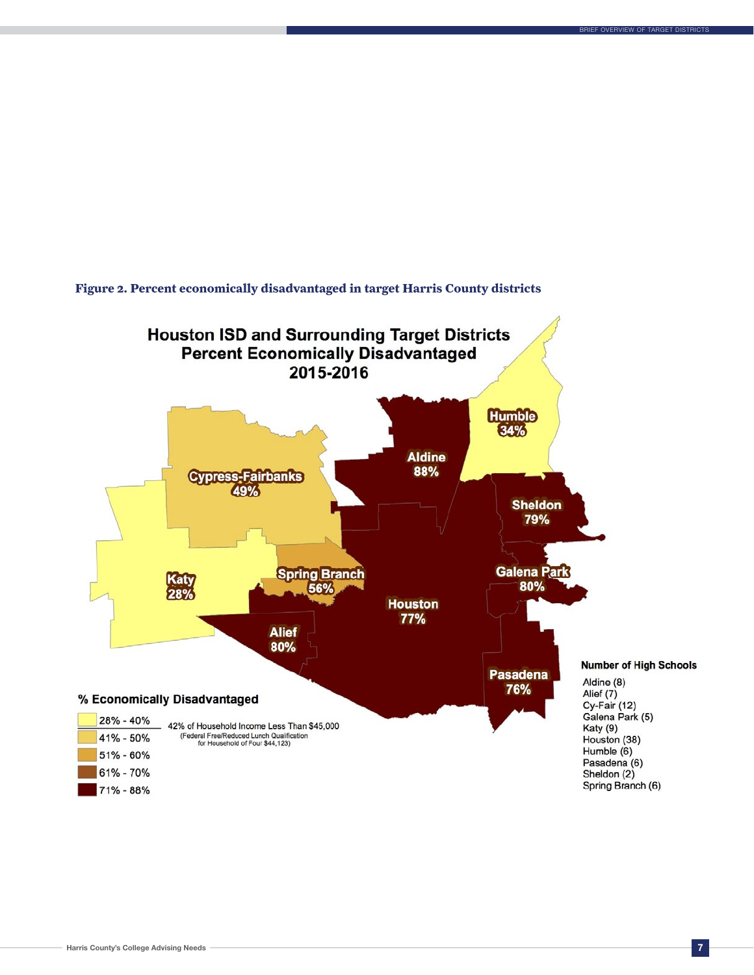

#### **Figure 2. Percent economically disadvantaged in target Harris County districts**

BRIEF OVERVIEW OF TARGET DISTRICTS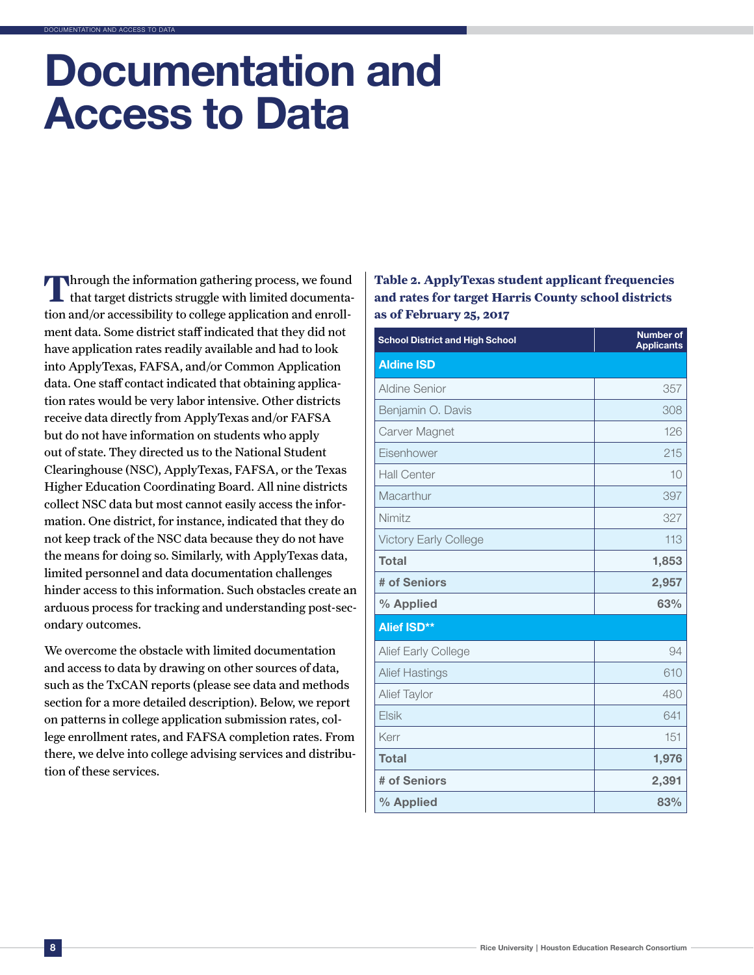## Documentation and Access to Data

**T** Through the information gathering process, we found that target districts struggle with limited documentation and/or accessibility to college application and enrollment data. Some district staff indicated that they did not have application rates readily available and had to look into ApplyTexas, FAFSA, and/or Common Application data. One staff contact indicated that obtaining application rates would be very labor intensive. Other districts receive data directly from ApplyTexas and/or FAFSA but do not have information on students who apply out of state. They directed us to the National Student Clearinghouse (NSC), ApplyTexas, FAFSA, or the Texas Higher Education Coordinating Board. All nine districts collect NSC data but most cannot easily access the information. One district, for instance, indicated that they do not keep track of the NSC data because they do not have the means for doing so. Similarly, with ApplyTexas data, limited personnel and data documentation challenges hinder access to this information. Such obstacles create an arduous process for tracking and understanding post-secondary outcomes.

We overcome the obstacle with limited documentation and access to data by drawing on other sources of data, such as the TxCAN reports (please see data and methods section for a more detailed description). Below, we report on patterns in college application submission rates, college enrollment rates, and FAFSA completion rates. From there, we delve into college advising services and distribution of these services.

### **Table 2. ApplyTexas student applicant frequencies and rates for target Harris County school districts as of February 25, 2017**

| <b>School District and High School</b> | <b>Number of</b><br><b>Applicants</b> |
|----------------------------------------|---------------------------------------|
| <b>Aldine ISD</b>                      |                                       |
| <b>Aldine Senior</b>                   | 357                                   |
| Benjamin O. Davis                      | 308                                   |
| <b>Carver Magnet</b>                   | 126                                   |
| Eisenhower                             | 215                                   |
| <b>Hall Center</b>                     | 10                                    |
| Macarthur                              | 397                                   |
| Nimitz                                 | 327                                   |
| <b>Victory Early College</b>           | 113                                   |
| <b>Total</b>                           | 1,853                                 |
| # of Seniors                           | 2,957                                 |
| % Applied                              | 63%                                   |
| <b>Alief ISD**</b>                     |                                       |
| Alief Early College                    | 94                                    |
| <b>Alief Hastings</b>                  | 610                                   |
| <b>Alief Taylor</b>                    | 480                                   |
| Elsik                                  | 641                                   |
| Kerr                                   | 151                                   |
| <b>Total</b>                           | 1,976                                 |
| # of Seniors                           | 2,391                                 |
| % Applied                              | 83%                                   |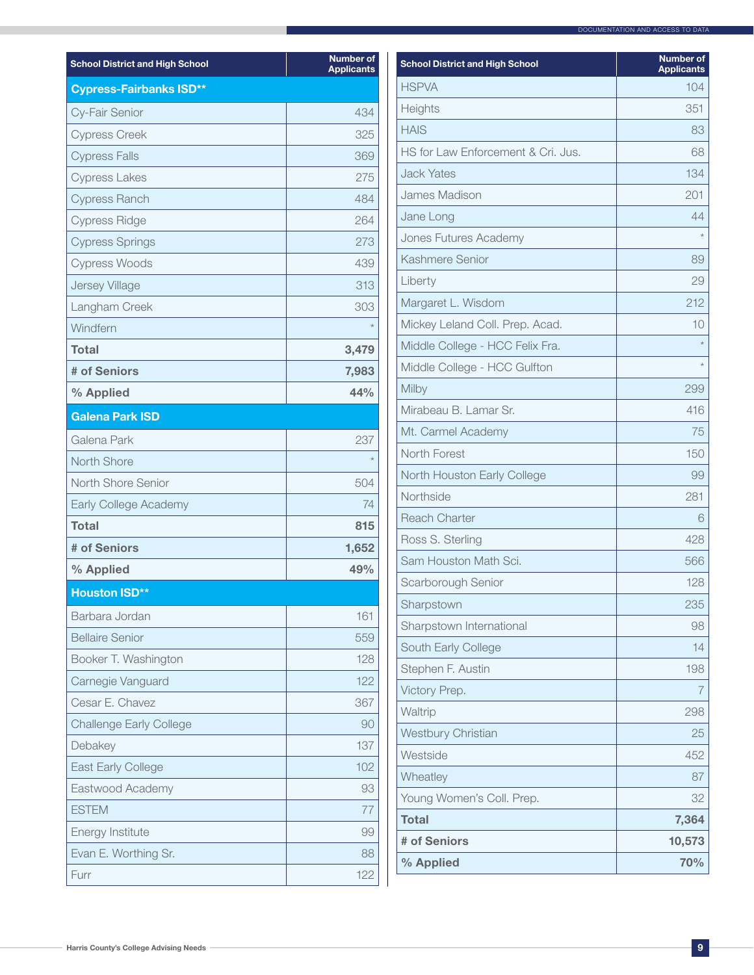| <b>School District and High School</b> | <b>Number of</b><br><b>Applicants</b> |
|----------------------------------------|---------------------------------------|
| Cypress-Fairbanks ISD**                |                                       |
| Cy-Fair Senior                         | 434                                   |
| <b>Cypress Creek</b>                   | 325                                   |
| <b>Cypress Falls</b>                   | 369                                   |
| <b>Cypress Lakes</b>                   | 275                                   |
| <b>Cypress Ranch</b>                   | 484                                   |
| <b>Cypress Ridge</b>                   | 264                                   |
| <b>Cypress Springs</b>                 | 273                                   |
| Cypress Woods                          | 439                                   |
| Jersey Village                         | 313                                   |
| Langham Creek                          | 303                                   |
| Windfern                               | $\star$                               |
| <b>Total</b>                           | 3,479                                 |
| # of Seniors                           | 7,983                                 |
| % Applied                              | 44%                                   |
| <b>Galena Park ISD</b>                 |                                       |
| Galena Park                            | 237                                   |
| North Shore                            | $\star$                               |
| North Shore Senior                     | 504                                   |
| Early College Academy                  | 74                                    |
| Total                                  | 815                                   |
| # of Seniors                           | 1,652                                 |
| % Applied                              | 49%                                   |
| <b>Houston ISD**</b>                   |                                       |
| Barbara Jordan                         | 161                                   |
| <b>Bellaire Senior</b>                 | 559                                   |
| Booker T. Washington                   | 128                                   |
| Carnegie Vanguard                      | 122                                   |
| Cesar E. Chavez                        | 367                                   |
| <b>Challenge Early College</b>         | 90                                    |
| Debakey                                | 137                                   |
| East Early College                     | 102                                   |
| Eastwood Academy                       | 93                                    |
| <b>ESTEM</b>                           | 77                                    |
| Energy Institute                       | 99                                    |
| Evan E. Worthing Sr.                   | 88                                    |
| Furr                                   | 122                                   |

| <b>School District and High School</b> | <b>Number of</b><br><b>Applicants</b> |
|----------------------------------------|---------------------------------------|
| <b>HSPVA</b>                           | 104                                   |
| Heights                                | 351                                   |
| <b>HAIS</b>                            | 83                                    |
| HS for Law Enforcement & Cri. Jus.     | 68                                    |
| <b>Jack Yates</b>                      | 134                                   |
| James Madison                          | 201                                   |
| Jane Long                              | 44                                    |
| Jones Futures Academy                  | $\star$                               |
| Kashmere Senior                        | 89                                    |
| Liberty                                | 29                                    |
| Margaret L. Wisdom                     | 212                                   |
| Mickey Leland Coll. Prep. Acad.        | 10                                    |
| Middle College - HCC Felix Fra.        |                                       |
| Middle College - HCC Gulfton           | $\star$                               |
| Milby                                  | 299                                   |
| Mirabeau B. Lamar Sr.                  | 416                                   |
| Mt. Carmel Academy                     | 75                                    |
| North Forest                           | 150                                   |
| North Houston Early College            | 99                                    |
| Northside                              | 281                                   |
| <b>Reach Charter</b>                   | 6                                     |
| Ross S. Sterling                       | 428                                   |
| Sam Houston Math Sci.                  | 566                                   |
| Scarborough Senior                     | 128                                   |
| Sharpstown                             | 235                                   |
| Sharpstown International               | 98                                    |
| South Early College                    | 14                                    |
| Stephen F. Austin                      | 198                                   |
| Victory Prep.                          | $\sqrt{2}$                            |
| Waltrip                                | 298                                   |
| Westbury Christian                     | 25                                    |
| Westside                               | 452                                   |
| Wheatley                               | 87                                    |
| Young Women's Coll. Prep.              | 32                                    |
| <b>Total</b>                           | 7,364                                 |
| # of Seniors                           | 10,573                                |
| % Applied                              | 70%                                   |
|                                        |                                       |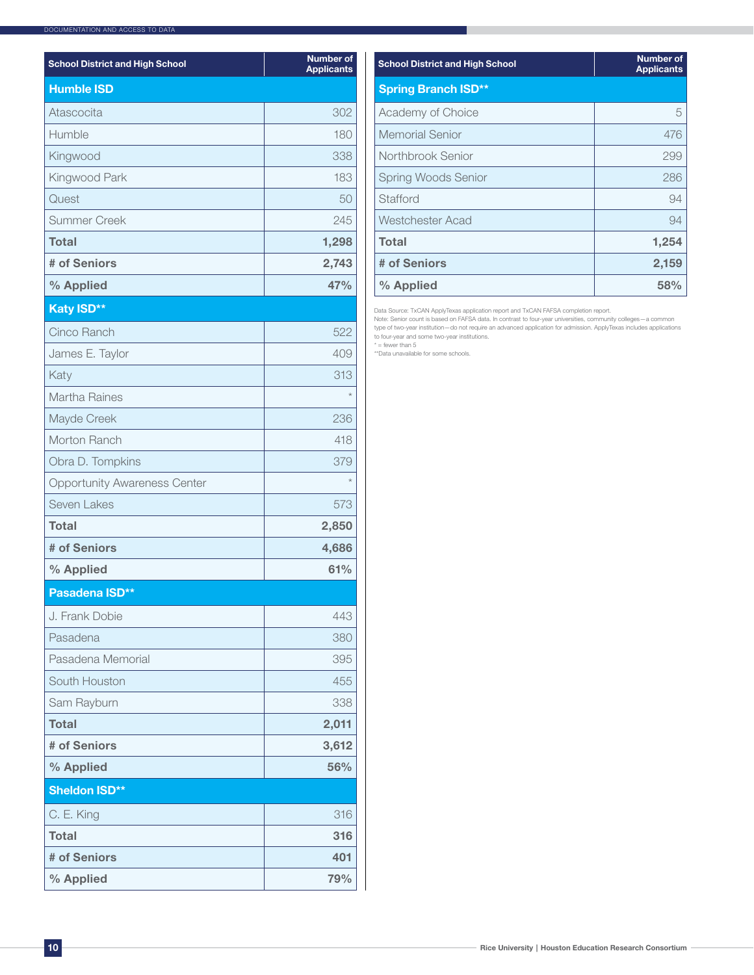#### DOCUMENTATION AND ACCESS TO DATA

| <b>School District and High School</b> | <b>Number of</b><br><b>Applicants</b> |
|----------------------------------------|---------------------------------------|
| <b>Humble ISD</b>                      |                                       |
| Atascocita                             | 302                                   |
| Humble                                 | 180                                   |
| Kingwood                               | 338                                   |
| Kingwood Park                          | 183                                   |
| Quest                                  | 50                                    |
| <b>Summer Creek</b>                    | 245                                   |
| <b>Total</b>                           | 1,298                                 |
| # of Seniors                           | 2,743                                 |
| % Applied                              | 47%                                   |
| Katy ISD**                             |                                       |
| Cinco Ranch                            | 522                                   |
| James E. Taylor                        | 409                                   |
| Katy                                   | 313                                   |
| Martha Raines                          |                                       |
| Mayde Creek                            | 236                                   |
| Morton Ranch                           | 418                                   |
| Obra D. Tompkins                       | 379                                   |
| <b>Opportunity Awareness Center</b>    | $\star$                               |
| Seven Lakes                            | 573                                   |
| <b>Total</b>                           | 2,850                                 |
| # of Seniors                           | 4,686                                 |
| % Applied                              | 61%                                   |
| Pasadena ISD**                         |                                       |
| J. Frank Dobie                         | 443                                   |
| Pasadena                               | 380                                   |
| Pasadena Memorial                      | 395                                   |
| South Houston                          | 455                                   |
| Sam Rayburn                            | 338                                   |
| <b>Total</b>                           | 2,011                                 |
| # of Seniors                           | 3,612                                 |
| % Applied                              | 56%                                   |
| <b>Sheldon ISD**</b>                   |                                       |
| C. E. King                             | 316                                   |
| <b>Total</b>                           | 316                                   |
| # of Seniors                           | 401                                   |
| % Applied                              | 79%                                   |

| <b>School District and High School</b> | <b>Number of</b><br><b>Applicants</b> |
|----------------------------------------|---------------------------------------|
| <b>Spring Branch ISD**</b>             |                                       |
| Academy of Choice                      | 5                                     |
| <b>Memorial Senior</b>                 | 476                                   |
| Northbrook Senior                      | 299                                   |
| <b>Spring Woods Senior</b>             | 286                                   |
| Stafford                               | 94                                    |
| Westchester Acad                       | 94                                    |
| Total                                  | 1,254                                 |
| # of Seniors                           | 2,159                                 |
| % Applied                              | 58%                                   |

Data Source: TxCAN ApplyTexas application report and TxCAN FAFSA completion report.<br>Note: Senior count is based on FAFSA data. In contrast to four-year universities, community colleges—a common<br>type of two-year institution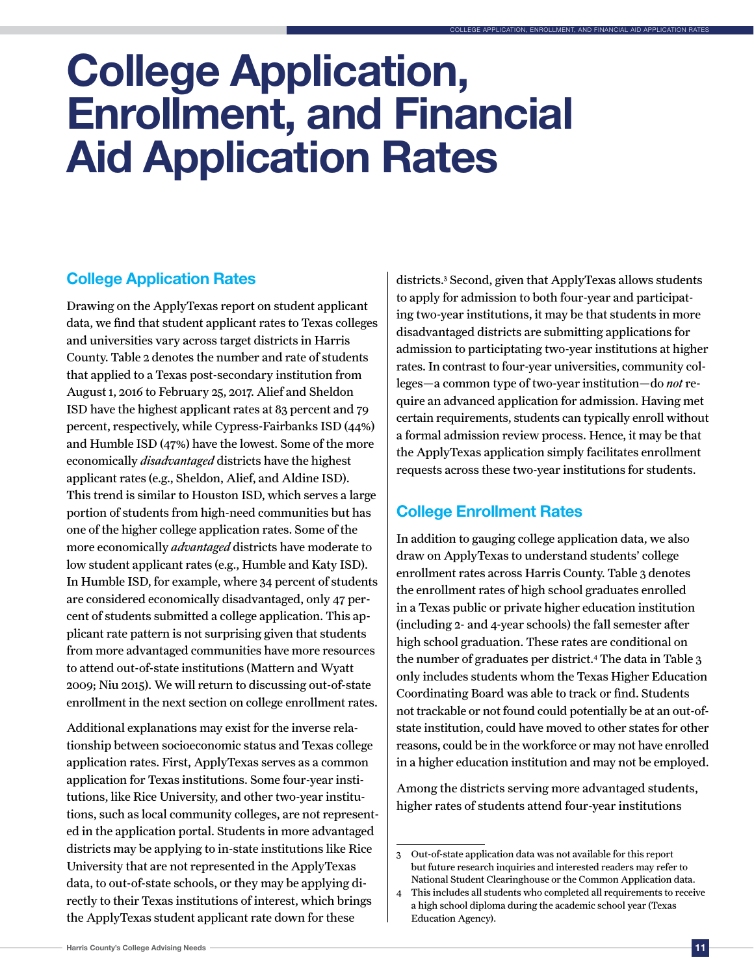## College Application, Enrollment, and Financial Aid Application Rates

### College Application Rates

Drawing on the ApplyTexas report on student applicant data, we find that student applicant rates to Texas colleges and universities vary across target districts in Harris County. Table 2 denotes the number and rate of students that applied to a Texas post-secondary institution from August 1, 2016 to February 25, 2017. Alief and Sheldon ISD have the highest applicant rates at 83 percent and 79 percent, respectively, while Cypress-Fairbanks ISD (44%) and Humble ISD (47%) have the lowest. Some of the more economically *disadvantaged* districts have the highest applicant rates (e.g., Sheldon, Alief, and Aldine ISD). This trend is similar to Houston ISD, which serves a large portion of students from high-need communities but has one of the higher college application rates. Some of the more economically *advantaged* districts have moderate to low student applicant rates (e.g., Humble and Katy ISD). In Humble ISD, for example, where 34 percent of students are considered economically disadvantaged, only 47 percent of students submitted a college application. This applicant rate pattern is not surprising given that students from more advantaged communities have more resources to attend out-of-state institutions (Mattern and Wyatt 2009; Niu 2015). We will return to discussing out-of-state enrollment in the next section on college enrollment rates.

Additional explanations may exist for the inverse relationship between socioeconomic status and Texas college application rates. First, ApplyTexas serves as a common application for Texas institutions. Some four-year institutions, like Rice University, and other two-year institutions, such as local community colleges, are not represented in the application portal. Students in more advantaged districts may be applying to in-state institutions like Rice University that are not represented in the ApplyTexas data, to out-of-state schools, or they may be applying directly to their Texas institutions of interest, which brings the ApplyTexas student applicant rate down for these

districts.3 Second, given that ApplyTexas allows students to apply for admission to both four-year and participating two-year institutions, it may be that students in more disadvantaged districts are submitting applications for admission to participtating two-year institutions at higher rates. In contrast to four-year universities, community colleges—a common type of two-year institution—do *not* require an advanced application for admission. Having met certain requirements, students can typically enroll without a formal admission review process. Hence, it may be that the ApplyTexas application simply facilitates enrollment requests across these two-year institutions for students.

COLLEGE APPLICATION, ENROLLMENT, AND FINANCIAL AID APPLICATION RATES

### College Enrollment Rates

In addition to gauging college application data, we also draw on ApplyTexas to understand students' college enrollment rates across Harris County. Table 3 denotes the enrollment rates of high school graduates enrolled in a Texas public or private higher education institution (including 2- and 4-year schools) the fall semester after high school graduation. These rates are conditional on the number of graduates per district.4 The data in Table 3 only includes students whom the Texas Higher Education Coordinating Board was able to track or find. Students not trackable or not found could potentially be at an out-ofstate institution, could have moved to other states for other reasons, could be in the workforce or may not have enrolled in a higher education institution and may not be employed.

Among the districts serving more advantaged students, higher rates of students attend four-year institutions

<sup>3</sup> Out-of-state application data was not available for this report but future research inquiries and interested readers may refer to National Student Clearinghouse or the Common Application data.

This includes all students who completed all requirements to receive a high school diploma during the academic school year (Texas Education Agency).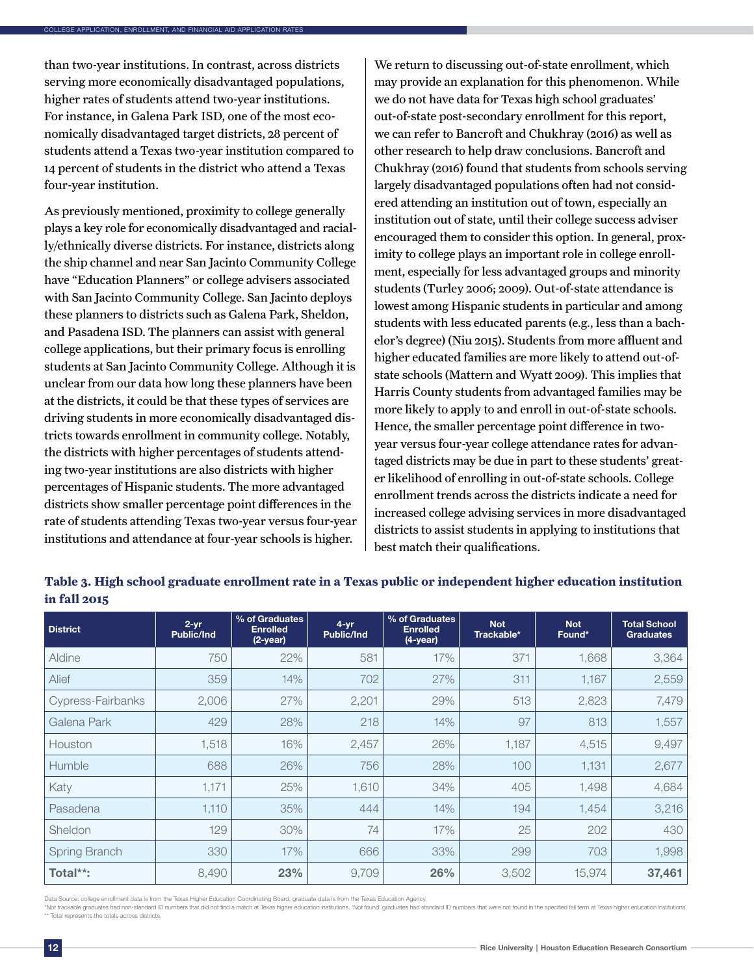than two-year institutions. In contrast, across districts serving more economically disadvantaged populations, higher rates of students attend two-year institutions. For instance, in Galena Park ISD, one of the most economically disadvantaged target districts, 28 percent of students attend a Texas two-year institution compared to 14 percent of students in the district who attend a Texas four-year institution.

COLLEGE APPLICATION, ENROLLMENT, AND FINANCIAL AID APPLICATION RATES

As previously mentioned, proximity to college generally plays a key role for economically disadvantaged and racially/ethnically diverse districts. For instance, districts along the ship channel and near San Jacinto Community College have "Education Planners" or college advisers associated with San Jacinto Community College. San Jacinto deploys these planners to districts such as Galena Park, Sheldon, and Pasadena ISD. The planners can assist with general college applications, but their primary focus is enrolling students at San Jacinto Community College. Although it is unclear from our data how long these planners have been at the districts, it could be that these types of services are driving students in more economically disadvantaged districts towards enrollment in community college. Notably, the districts with higher percentages of students attending two-year institutions are also districts with higher percentages of Hispanic students. The more advantaged districts show smaller percentage point differences in the rate of students attending Texas two-year versus four-year institutions and attendance at four-year schools is higher.

We return to discussing out-of-state enrollment, which may provide an explanation for this phenomenon. While we do not have data for Texas high school graduates' out-of-state post-secondary enrollment for this report, we can refer to Bancroft and Chukhray (2016) as well as other research to help draw conclusions. Bancroft and Chukhray (2016) found that students from schools serving largely disadvantaged populations often had not considered attending an institution out of town, especially an institution out of state, until their college success adviser encouraged them to consider this option. In general, proximity to college plays an important role in college enrollment, especially for less advantaged groups and minority students (Turley 2006; 2009). Out-of-state attendance is lowest among Hispanic students in particular and among students with less educated parents (e.g., less than a bachelor's degree) (Niu 2015). Students from more affluent and higher educated families are more likely to attend out-ofstate schools (Mattern and Wyatt 2009). This implies that Harris County students from advantaged families may be more likely to apply to and enroll in out-of-state schools. Hence, the smaller percentage point difference in twoyear versus four-year college attendance rates for advantaged districts may be due in part to these students' greater likelihood of enrolling in out-of-state schools. College enrollment trends across the districts indicate a need for increased college advising services in more disadvantaged districts to assist students in applying to institutions that best match their qualifications.

| Table 3. High school graduate enrollment rate in a Texas public or independent higher education institution |  |
|-------------------------------------------------------------------------------------------------------------|--|
| in fall 2015                                                                                                |  |

| <b>District</b>   | $2-yr$<br><b>Public/Ind</b> | % of Graduates<br><b>Enrolled</b><br>$(2-year)$ | $4 - yr$<br><b>Public/Ind</b> | % of Graduates<br><b>Enrolled</b><br>$(4-year)$ | <b>Not</b><br>Trackable* | <b>Not</b><br>Found* | <b>Total School</b><br><b>Graduates</b> |
|-------------------|-----------------------------|-------------------------------------------------|-------------------------------|-------------------------------------------------|--------------------------|----------------------|-----------------------------------------|
| Aldine            | 750                         | 22%                                             | 581                           | 17%                                             | 371                      | 1,668                | 3,364                                   |
| Alief             | 359                         | 14%                                             | 702                           | 27%                                             | 311                      | 1,167                | 2,559                                   |
| Cypress-Fairbanks | 2,006                       | 27%                                             | 2,201                         | 29%                                             | 513                      | 2,823                | 7,479                                   |
| Galena Park       | 429                         | 28%                                             | 218                           | 14%                                             | 97                       | 813                  | 1,557                                   |
| Houston           | 1,518                       | 16%                                             | 2,457                         | 26%                                             | 1,187                    | 4,515                | 9,497                                   |
| Humble            | 688                         | 26%                                             | 756                           | 28%                                             | 100                      | 1,131                | 2,677                                   |
| Katy              | 1,171                       | 25%                                             | 1,610                         | 34%                                             | 405                      | 1,498                | 4,684                                   |
| Pasadena          | 1,110                       | 35%                                             | 444                           | 14%                                             | 194                      | 1,454                | 3,216                                   |
| Sheldon           | 129                         | 30%                                             | 74                            | 17%                                             | 25                       | 202                  | 430                                     |
| Spring Branch     | 330                         | 17%                                             | 666                           | 33%                                             | 299                      | 703                  | 1,998                                   |
| Total**:          | 8,490                       | 23%                                             | 9,709                         | 26%                                             | 3,502                    | 15,974               | 37,461                                  |

Data Source: college enrollment data is from the Texas Higher Education Coordinating Board; graduate data is from the Texas Education Agency.

\*Not trackable graduates had non-standard ID numbers that did not find a match at Texas higher education institutions. 'Not found' graduates had standard ID numbers that were not found in the specified fall term at Texas h \*\* Total represents the totals across districts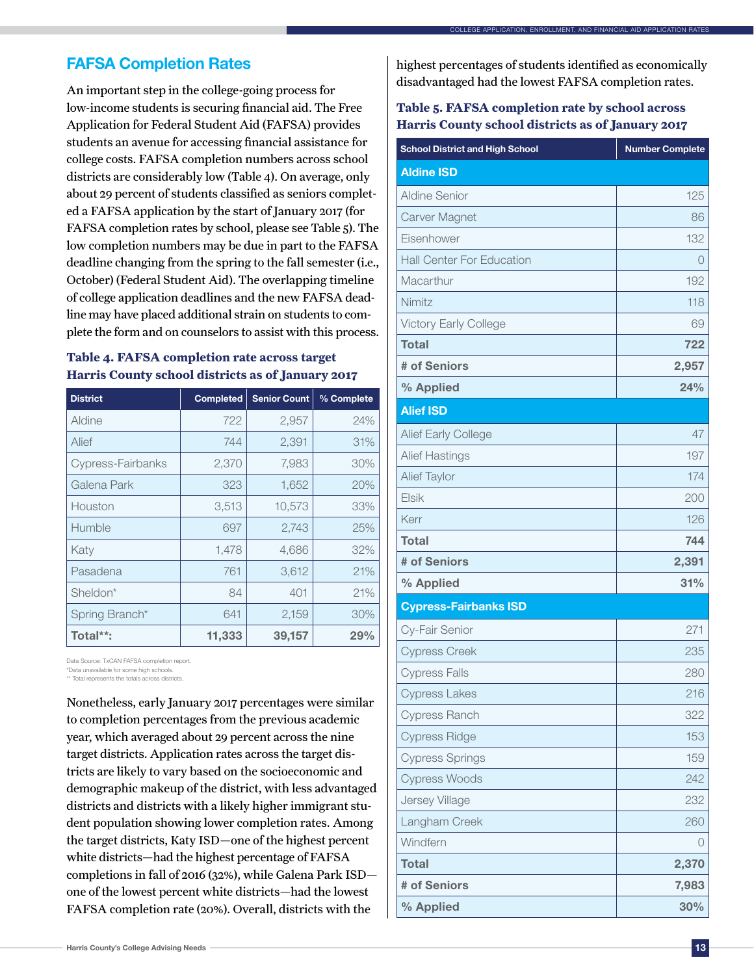### FAFSA Completion Rates

An important step in the college-going process for low-income students is securing financial aid. The Free Application for Federal Student Aid (FAFSA) provides students an avenue for accessing financial assistance for college costs. FAFSA completion numbers across school districts are considerably low (Table 4). On average, only about 29 percent of students classified as seniors completed a FAFSA application by the start of January 2017 (for FAFSA completion rates by school, please see Table 5). The low completion numbers may be due in part to the FAFSA deadline changing from the spring to the fall semester (i.e., October) (Federal Student Aid). The overlapping timeline of college application deadlines and the new FAFSA deadline may have placed additional strain on students to complete the form and on counselors to assist with this process.

### **Table 4. FAFSA completion rate across target Harris County school districts as of January 2017**

| <b>District</b>   | <b>Completed</b> | <b>Senior Count</b> | % Complete |
|-------------------|------------------|---------------------|------------|
| Aldine            | 722              | 2,957               | 24%        |
| Alief             | 744              | 2,391               | 31%        |
| Cypress-Fairbanks | 2,370            | 7,983               | 30%        |
| Galena Park       | 323              | 1,652               | 20%        |
| Houston           | 3,513            | 10,573              | 33%        |
| Humble            | 697              | 2,743               | 25%        |
| Katy              | 1,478            | 4,686               | 32%        |
| Pasadena          | 761              | 3,612               | 21%        |
| Sheldon*          | 84               | 401                 | 21%        |
| Spring Branch*    | 641              | 2,159               | 30%        |
| Total**:          | 11,333           | 39,157              | 29%        |

Data Source: TxCAN FAFSA completion report.

\*Data unavailable for some high schools.

\*\* Total represents the totals across districts.

Nonetheless, early January 2017 percentages were similar to completion percentages from the previous academic year, which averaged about 29 percent across the nine target districts. Application rates across the target districts are likely to vary based on the socioeconomic and demographic makeup of the district, with less advantaged districts and districts with a likely higher immigrant student population showing lower completion rates. Among the target districts, Katy ISD—one of the highest percent white districts—had the highest percentage of FAFSA completions in fall of 2016 (32%), while Galena Park ISD one of the lowest percent white districts—had the lowest FAFSA completion rate (20%). Overall, districts with the

highest percentages of students identified as economically disadvantaged had the lowest FAFSA completion rates.

COLLEGE APPLICATION, ENROLLMENT, AND FINANCIAL AID APPLICATION RATES

#### **Table 5. FAFSA completion rate by school across Harris County school districts as of January 2017**

| <b>School District and High School</b> | <b>Number Complete</b> |
|----------------------------------------|------------------------|
| <b>Aldine ISD</b>                      |                        |
| <b>Aldine Senior</b>                   | 125                    |
| Carver Magnet                          | 86                     |
| Eisenhower                             | 132                    |
| <b>Hall Center For Education</b>       | $\left( \right)$       |
| Macarthur                              | 192                    |
| Nimitz                                 | 118                    |
| <b>Victory Early College</b>           | 69                     |
| <b>Total</b>                           | 722                    |
| # of Seniors                           | 2,957                  |
| % Applied                              | 24%                    |
| <b>Alief ISD</b>                       |                        |
| Alief Early College                    | 47                     |
| <b>Alief Hastings</b>                  | 197                    |
| <b>Alief Taylor</b>                    | 174                    |
| Elsik                                  | 200                    |
| Kerr                                   | 126                    |
| <b>Total</b>                           | 744                    |
| # of Seniors                           | 2,391                  |
| % Applied                              | 31%                    |
| <b>Cypress-Fairbanks ISD</b>           |                        |
| Cy-Fair Senior                         | 271                    |
| <b>Cypress Creek</b>                   | 235                    |
| <b>Cypress Falls</b>                   | 280                    |
| <b>Cypress Lakes</b>                   | 216                    |
| Cypress Ranch                          | 322                    |
| <b>Cypress Ridge</b>                   | 153                    |
| <b>Cypress Springs</b>                 | 159                    |
| <b>Cypress Woods</b>                   | 242                    |
| Jersey Village                         | 232                    |
| Langham Creek                          | 260                    |
| Windfern                               | 0                      |
| <b>Total</b>                           | 2,370                  |
| # of Seniors                           | 7,983                  |
| % Applied                              | 30%                    |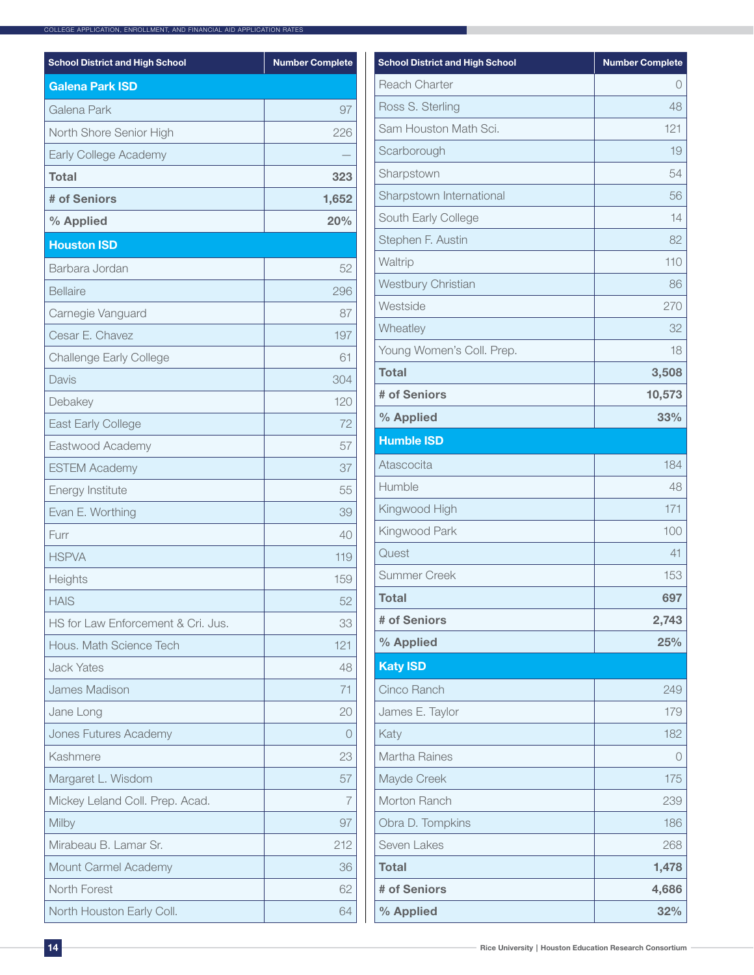| <b>School District and High School</b> | <b>Number Complete</b> |
|----------------------------------------|------------------------|
| <b>Galena Park ISD</b>                 |                        |
| Galena Park                            | 97                     |
| North Shore Senior High                | 226                    |
| Early College Academy                  |                        |
| <b>Total</b>                           | 323                    |
| # of Seniors                           | 1,652                  |
| % Applied                              | 20%                    |
| <b>Houston ISD</b>                     |                        |
| Barbara Jordan                         | 52                     |
| <b>Bellaire</b>                        | 296                    |
| Carnegie Vanguard                      | 87                     |
| Cesar E. Chavez                        | 197                    |
| <b>Challenge Early College</b>         | 61                     |
| Davis                                  | 304                    |
| Debakey                                | 120                    |
| <b>East Early College</b>              | 72                     |
| Eastwood Academy                       | 57                     |
| <b>ESTEM Academy</b>                   | 37                     |
| Energy Institute                       | 55                     |
| Evan E. Worthing                       | 39                     |
| Furr                                   | 40                     |
| <b>HSPVA</b>                           | 119                    |
| Heights                                | 159                    |
| <b>HAIS</b>                            | 52                     |
| HS for Law Enforcement & Cri. Jus.     | 33                     |
| Hous. Math Science Tech                | 121                    |
| <b>Jack Yates</b>                      | 48                     |
| James Madison                          | 71                     |
| Jane Long                              | 20                     |
| Jones Futures Academy                  | 0                      |
| Kashmere                               | 23                     |
| Margaret L. Wisdom                     | 57                     |
| Mickey Leland Coll. Prep. Acad.        | $\overline{7}$         |
| Milby                                  | 97                     |
| Mirabeau B. Lamar Sr.                  | 212                    |
| Mount Carmel Academy                   | 36                     |
| North Forest                           | 62                     |
| North Houston Early Coll.              | 64                     |

COLLEGE APPLICATION, ENROLLMENT, AND FINANCIAL AID APPLICATION RATES

| <b>School District and High School</b> | <b>Number Complete</b> |
|----------------------------------------|------------------------|
| <b>Reach Charter</b>                   | 0                      |
| Ross S. Sterling                       | 48                     |
| Sam Houston Math Sci.                  | 121                    |
| Scarborough                            | 19                     |
| Sharpstown                             | 54                     |
| Sharpstown International               | 56                     |
| South Early College                    | 14                     |
| Stephen F. Austin                      | 82                     |
| Waltrip                                | 110                    |
| Westbury Christian                     | 86                     |
| Westside                               | 270                    |
| Wheatley                               | 32                     |
| Young Women's Coll. Prep.              | 18                     |
| <b>Total</b>                           | 3,508                  |
| # of Seniors                           | 10,573                 |
| % Applied                              | 33%                    |
| <b>Humble ISD</b>                      |                        |
| Atascocita                             | 184                    |
| Humble                                 | 48                     |
| Kingwood High                          | 171                    |
| Kingwood Park                          | 100                    |
| Quest                                  | 41                     |
| <b>Summer Creek</b>                    | 153                    |
| <b>Total</b>                           | 697                    |
| # of Seniors                           | 2,743                  |
| % Applied                              | 25%                    |
| <b>Katy ISD</b>                        |                        |
| Cinco Ranch                            | 249                    |
| James E. Taylor                        | 179                    |
| Katy                                   | 182                    |
| Martha Raines                          | 0                      |
| Mayde Creek                            | 175                    |
| Morton Ranch                           | 239                    |
| Obra D. Tompkins                       | 186                    |
| Seven Lakes                            | 268                    |
| <b>Total</b>                           | 1,478                  |
| # of Seniors                           | 4,686                  |
| % Applied                              | 32%                    |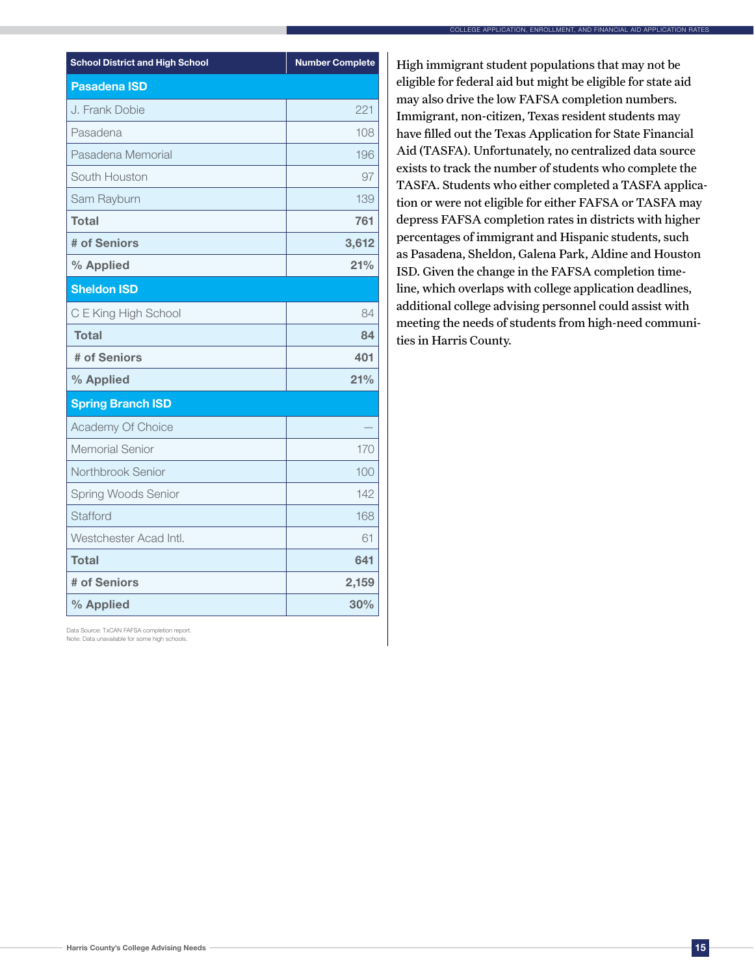| <b>School District and High School</b> | <b>Number Complete</b> |  |  |  |
|----------------------------------------|------------------------|--|--|--|
| <b>Pasadena ISD</b>                    |                        |  |  |  |
| J. Frank Dobie                         | 221                    |  |  |  |
| Pasadena                               | 108                    |  |  |  |
| Pasadena Memorial                      | 196                    |  |  |  |
| South Houston                          | 97                     |  |  |  |
| Sam Rayburn                            | 139                    |  |  |  |
| <b>Total</b>                           | 761                    |  |  |  |
| # of Seniors                           | 3,612                  |  |  |  |
| % Applied                              | 21%                    |  |  |  |
| <b>Sheldon ISD</b>                     |                        |  |  |  |
| C E King High School                   | 84                     |  |  |  |
| <b>Total</b>                           | 84                     |  |  |  |
| # of Seniors                           | 401                    |  |  |  |
| % Applied                              | 21%                    |  |  |  |
| <b>Spring Branch ISD</b>               |                        |  |  |  |
| Academy Of Choice                      |                        |  |  |  |
| <b>Memorial Senior</b>                 | 170                    |  |  |  |
| Northbrook Senior                      | 100                    |  |  |  |
| Spring Woods Senior                    | 142                    |  |  |  |
| Stafford                               | 168                    |  |  |  |
| Westchester Acad Intl.                 | 61                     |  |  |  |
| <b>Total</b>                           | 641                    |  |  |  |
| # of Seniors                           | 2,159                  |  |  |  |
| % Applied                              | 30%                    |  |  |  |

Data Source: TxCAN FAFSA completion report. Note: Data unavailable for some high schools.

High immigrant student populations that may not be eligible for federal aid but might be eligible for state aid may also drive the low FAFSA completion numbers. Immigrant, non-citizen, Texas resident students may have filled out the Texas Application for State Financial Aid (TASFA). Unfortunately, no centralized data source exists to track the number of students who complete the TASFA. Students who either completed a TASFA application or were not eligible for either FAFSA or TASFA may depress FAFSA completion rates in districts with higher percentages of immigrant and Hispanic students, such as Pasadena, Sheldon, Galena Park, Aldine and Houston ISD. Given the change in the FAFSA completion timeline, which overlaps with college application deadlines, additional college advising personnel could assist with meeting the needs of students from high-need communities in Harris County.

COLLEGE APPLICATION, ENROLLMENT, AND FINANCIAL AID APPLICATION RATES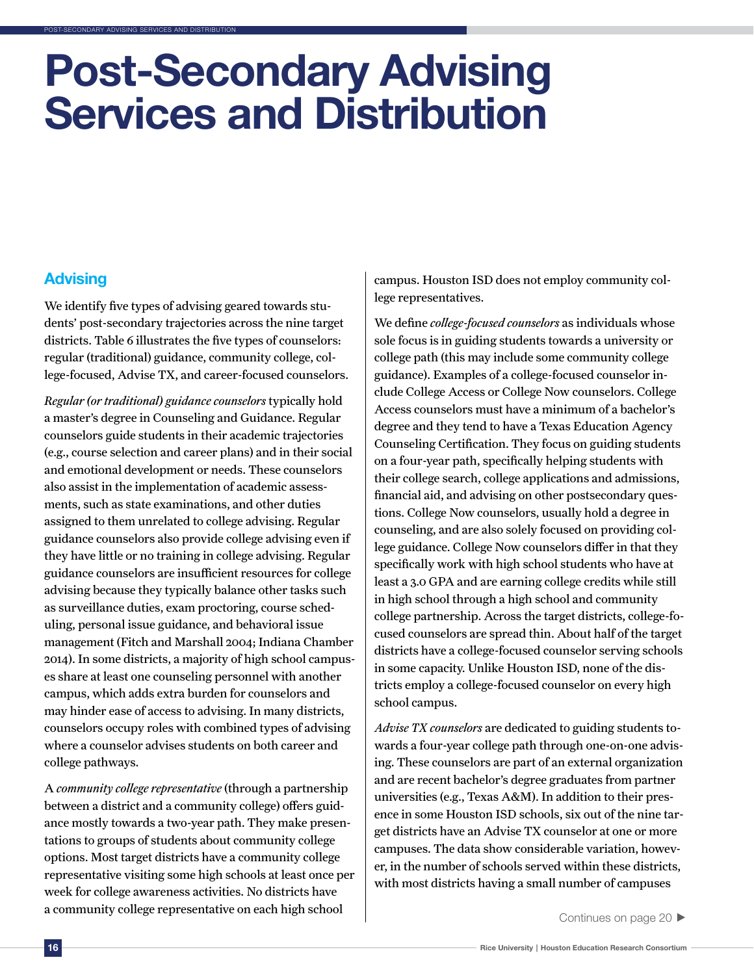## Post-Secondary Advising Services and Distribution

### **Advising**

We identify five types of advising geared towards students' post-secondary trajectories across the nine target districts. Table 6 illustrates the five types of counselors: regular (traditional) guidance, community college, college-focused, Advise TX, and career-focused counselors.

*Regular (or traditional) guidance counselors* typically hold a master's degree in Counseling and Guidance. Regular counselors guide students in their academic trajectories (e.g., course selection and career plans) and in their social and emotional development or needs. These counselors also assist in the implementation of academic assessments, such as state examinations, and other duties assigned to them unrelated to college advising. Regular guidance counselors also provide college advising even if they have little or no training in college advising. Regular guidance counselors are insufficient resources for college advising because they typically balance other tasks such as surveillance duties, exam proctoring, course scheduling, personal issue guidance, and behavioral issue management (Fitch and Marshall 2004; Indiana Chamber 2014). In some districts, a majority of high school campuses share at least one counseling personnel with another campus, which adds extra burden for counselors and may hinder ease of access to advising. In many districts, counselors occupy roles with combined types of advising where a counselor advises students on both career and college pathways.

A *community college representative* (through a partnership between a district and a community college) offers guidance mostly towards a two-year path. They make presentations to groups of students about community college options. Most target districts have a community college representative visiting some high schools at least once per week for college awareness activities. No districts have a community college representative on each high school

campus. Houston ISD does not employ community college representatives.

We define *college-focused counselors* as individuals whose sole focus is in guiding students towards a university or college path (this may include some community college guidance). Examples of a college-focused counselor include College Access or College Now counselors. College Access counselors must have a minimum of a bachelor's degree and they tend to have a Texas Education Agency Counseling Certification. They focus on guiding students on a four-year path, specifically helping students with their college search, college applications and admissions, financial aid, and advising on other postsecondary questions. College Now counselors, usually hold a degree in counseling, and are also solely focused on providing college guidance. College Now counselors differ in that they specifically work with high school students who have at least a 3.0 GPA and are earning college credits while still in high school through a high school and community college partnership. Across the target districts, college-focused counselors are spread thin. About half of the target districts have a college-focused counselor serving schools in some capacity. Unlike Houston ISD, none of the districts employ a college-focused counselor on every high school campus.

*Advise TX counselors* are dedicated to guiding students towards a four-year college path through one-on-one advising. These counselors are part of an external organization and are recent bachelor's degree graduates from partner universities (e.g., Texas A&M). In addition to their presence in some Houston ISD schools, six out of the nine target districts have an Advise TX counselor at one or more campuses. The data show considerable variation, however, in the number of schools served within these districts, with most districts having a small number of campuses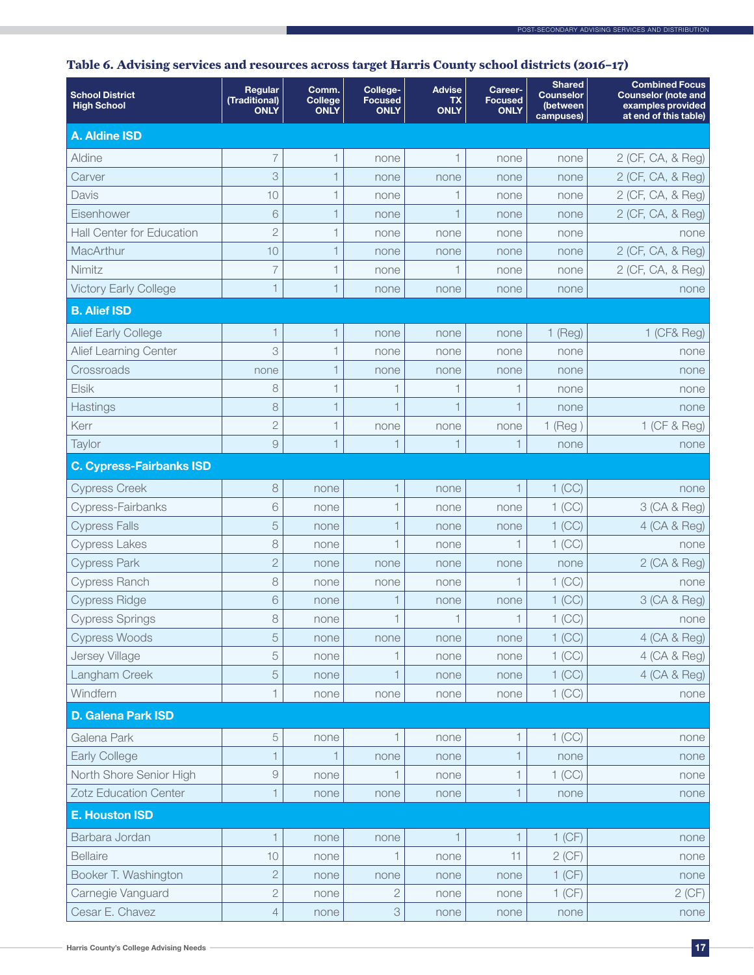### **Table 6. Advising services and resources across target Harris County school districts (2016–17)**

| <b>School District</b><br><b>High School</b> | Regular<br>(Traditional)<br><b>ONLY</b> | Comm.<br><b>College</b><br><b>ONLY</b> | College-<br><b>Focused</b><br><b>ONLY</b> | <b>Advise</b><br><b>TX</b><br><b>ONLY</b> | Career-<br><b>Focused</b><br><b>ONLY</b> | <b>Shared</b><br><b>Counselor</b><br>(between<br>campuses) | <b>Combined Focus</b><br><b>Counselor (note and</b><br>examples provided<br>at end of this table) |
|----------------------------------------------|-----------------------------------------|----------------------------------------|-------------------------------------------|-------------------------------------------|------------------------------------------|------------------------------------------------------------|---------------------------------------------------------------------------------------------------|
| <b>A. Aldine ISD</b>                         |                                         |                                        |                                           |                                           |                                          |                                                            |                                                                                                   |
| Aldine                                       | 7                                       | 1                                      | none                                      | 1                                         | none                                     | none                                                       | 2 (CF, CA, & Reg)                                                                                 |
| Carver                                       | 3                                       | 1                                      | none                                      | none                                      | none                                     | none                                                       | 2 (CF, CA, & Reg)                                                                                 |
| Davis                                        | 10                                      | 1                                      | none                                      | 1                                         | none                                     | none                                                       | 2 (CF, CA, & Reg)                                                                                 |
| Eisenhower                                   | 6                                       | 1                                      | none                                      | 1                                         | none                                     | none                                                       | 2 (CF, CA, & Reg)                                                                                 |
| Hall Center for Education                    | $\overline{c}$                          | 1                                      | none                                      | none                                      | none                                     | none                                                       | none                                                                                              |
| MacArthur                                    | 10                                      | 1                                      | none                                      | none                                      | none                                     | none                                                       | 2 (CF, CA, & Reg)                                                                                 |
| Nimitz                                       | $\overline{7}$                          | 1                                      | none                                      | 1                                         | none                                     | none                                                       | 2 (CF, CA, & Reg)                                                                                 |
| <b>Victory Early College</b>                 | 1                                       | $\overline{1}$                         | none                                      | none                                      | none                                     | none                                                       | none                                                                                              |
| <b>B. Alief ISD</b>                          |                                         |                                        |                                           |                                           |                                          |                                                            |                                                                                                   |
| <b>Alief Early College</b>                   |                                         | 1                                      | none                                      | none                                      | none                                     | $1$ (Reg)                                                  | 1 (CF& Reg)                                                                                       |
| Alief Learning Center                        | 3                                       | 1                                      | none                                      | none                                      | none                                     | none                                                       | none                                                                                              |
| Crossroads                                   | none                                    | $\mathbf{1}$                           | none                                      | none                                      | none                                     | none                                                       | none                                                                                              |
| Elsik                                        | 8                                       | 1                                      | 1                                         | 1                                         | 1                                        | none                                                       | none                                                                                              |
| Hastings                                     | 8                                       | $\mathbf 1$                            | $\overline{1}$                            | $\overline{1}$                            | 1                                        | none                                                       | none                                                                                              |
| Kerr                                         | $\sqrt{2}$                              | 1                                      | none                                      | none                                      | none                                     | $1$ (Reg)                                                  | 1 (CF & Reg)                                                                                      |
| Taylor                                       | $\mathcal{G}$                           | 1                                      | 1                                         | 1                                         | 1                                        | none                                                       | none                                                                                              |
| <b>C. Cypress-Fairbanks ISD</b>              |                                         |                                        |                                           |                                           |                                          |                                                            |                                                                                                   |
| <b>Cypress Creek</b>                         | $\rm 8$                                 | none                                   | 1                                         | none                                      | 1                                        | $1$ (CC)                                                   | none                                                                                              |
| Cypress-Fairbanks                            | 6                                       | none                                   | 1                                         | none                                      | none                                     | $1$ (CC)                                                   | 3 (CA & Reg)                                                                                      |
| <b>Cypress Falls</b>                         | 5                                       | none                                   | 1                                         | none                                      | none                                     | $1$ (CC)                                                   | 4 (CA & Reg)                                                                                      |
| <b>Cypress Lakes</b>                         | 8                                       | none                                   | 1                                         | none                                      | 1                                        | $1$ (CC)                                                   | none                                                                                              |
| <b>Cypress Park</b>                          | $\sqrt{2}$                              | none                                   | none                                      | none                                      | none                                     | none                                                       | 2 (CA & Reg)                                                                                      |
| <b>Cypress Ranch</b>                         | 8                                       | none                                   | none                                      | none                                      | 1                                        | $1$ (CC)                                                   | none                                                                                              |
| <b>Cypress Ridge</b>                         | 6                                       | none                                   |                                           | none                                      | none                                     | $1$ (CC)                                                   | 3 (CA & Reg)                                                                                      |
| <b>Cypress Springs</b>                       | 8                                       | none                                   | 1                                         | 1                                         | 1                                        | $1$ (CC)                                                   | none                                                                                              |
| <b>Cypress Woods</b>                         | $\overline{5}$                          | none                                   | none                                      | none                                      | none                                     | $1$ (CC)                                                   | 4 (CA & Reg)                                                                                      |
| Jersey Village                               | 5                                       | none                                   |                                           | none                                      | none                                     | $1$ (CC)                                                   | 4 (CA & Reg)                                                                                      |
| Langham Creek                                | $\sqrt{5}$                              | none                                   | 1                                         | none                                      | none                                     | $1$ (CC)                                                   | 4 (CA & Reg)                                                                                      |
| Windfern                                     | 1                                       | none                                   | none                                      | none                                      | none                                     | $1$ (CC)                                                   | none                                                                                              |
| D. Galena Park ISD                           |                                         |                                        |                                           |                                           |                                          |                                                            |                                                                                                   |
| Galena Park                                  | 5                                       | none                                   | 1                                         | none                                      | 1                                        | $1$ (CC)                                                   | none                                                                                              |
| Early College                                |                                         |                                        | none                                      | none                                      | 1                                        | none                                                       | none                                                                                              |
| North Shore Senior High                      | $\Theta$                                | none                                   | 1                                         | none                                      | 1                                        | $1$ (CC)                                                   | none                                                                                              |
| <b>Zotz Education Center</b>                 | 1                                       | none                                   | none                                      | none                                      | 1                                        | none                                                       | none                                                                                              |
| <b>E. Houston ISD</b>                        |                                         |                                        |                                           |                                           |                                          |                                                            |                                                                                                   |
| Barbara Jordan                               |                                         | none                                   | none                                      | 1                                         | 1                                        | $1$ (CF)                                                   | none                                                                                              |
| <b>Bellaire</b>                              | 10                                      | none                                   | 1                                         | none                                      | 11                                       | $2$ (CF)                                                   | none                                                                                              |
| Booker T. Washington                         | $\sqrt{2}$                              | none                                   | none                                      | none                                      | none                                     | $1$ (CF)                                                   | none                                                                                              |
| Carnegie Vanguard                            | $\sqrt{2}$                              | none                                   | $\overline{c}$                            | none                                      | none                                     | $1$ (CF)                                                   | $2$ (CF)                                                                                          |
| Cesar E. Chavez                              | $\overline{4}$                          | none                                   | 3                                         | none                                      | none                                     | none                                                       | none                                                                                              |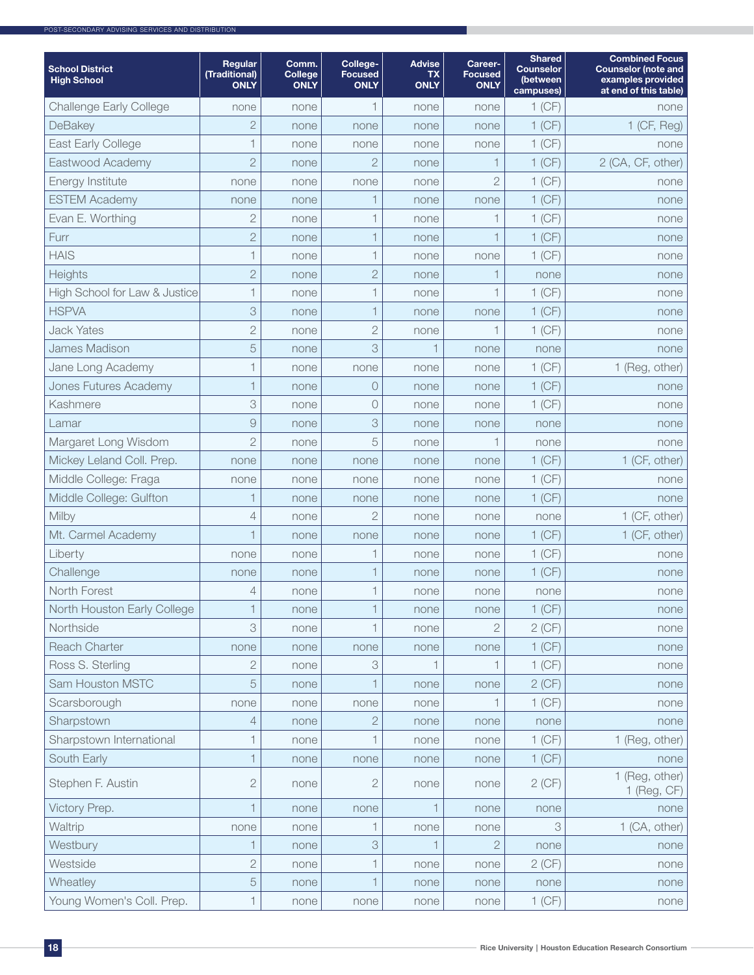| <b>School District</b><br><b>High School</b> | Regular<br>(Traditional)<br><b>ONLY</b> | Comm.<br><b>College</b><br><b>ONLY</b> | College-<br><b>Focused</b><br><b>ONLY</b> | <b>Advise</b><br>ТX<br><b>ONLY</b> | Career-<br><b>Focused</b><br><b>ONLY</b> | <b>Shared</b><br><b>Counselor</b><br>(between<br>campuses) | <b>Combined Focus</b><br><b>Counselor (note and</b><br>examples provided<br>at end of this table) |
|----------------------------------------------|-----------------------------------------|----------------------------------------|-------------------------------------------|------------------------------------|------------------------------------------|------------------------------------------------------------|---------------------------------------------------------------------------------------------------|
| <b>Challenge Early College</b>               | none                                    | none                                   | 1                                         | none                               | none                                     | $1$ (CF)                                                   | none                                                                                              |
| DeBakey                                      | $\mathbf{2}$                            | none                                   | none                                      | none                               | none                                     | $1$ (CF)                                                   | $1$ (CF, Reg)                                                                                     |
| East Early College                           | 1                                       | none                                   | none                                      | none                               | none                                     | $1$ (CF)                                                   | none                                                                                              |
| Eastwood Academy                             | $\overline{2}$                          | none                                   | $\mathbf{2}$                              | none                               | 1                                        | $1$ (CF)                                                   | 2 (CA, CF, other)                                                                                 |
| Energy Institute                             | none                                    | none                                   | none                                      | none                               | $\mathbf{2}$                             | $1$ (CF)                                                   | none                                                                                              |
| <b>ESTEM Academy</b>                         | none                                    | none                                   | 1                                         | none                               | none                                     | $1$ (CF)                                                   | none                                                                                              |
| Evan E. Worthing                             | $\overline{2}$                          | none                                   | 1                                         | none                               | 1                                        | $1$ (CF)                                                   | none                                                                                              |
| Furr                                         | $\overline{c}$                          | none                                   | 1                                         | none                               | 1                                        | $1$ (CF)                                                   | none                                                                                              |
| <b>HAIS</b>                                  | 1                                       | none                                   | 1                                         | none                               | none                                     | $1$ (CF)                                                   | none                                                                                              |
| Heights                                      | $\overline{c}$                          | none                                   | $\mathbf{2}$                              | none                               | 1                                        | none                                                       | none                                                                                              |
| High School for Law & Justice                | 1                                       | none                                   | 1                                         | none                               | 1                                        | $1$ (CF)                                                   | none                                                                                              |
| <b>HSPVA</b>                                 | 3                                       | none                                   | $\mathbf{1}$                              | none                               | none                                     | $1$ (CF)                                                   | none                                                                                              |
| <b>Jack Yates</b>                            | $\mathbf 2$                             | none                                   | $\mathbf{2}$                              | none                               | 1                                        | $1$ (CF)                                                   | none                                                                                              |
| James Madison                                | 5                                       | none                                   | 3                                         | 1                                  | none                                     | none                                                       | none                                                                                              |
| Jane Long Academy                            | 1                                       | none                                   | none                                      | none                               | none                                     | $1$ (CF)                                                   | 1 (Reg, other)                                                                                    |
| Jones Futures Academy                        | $\mathbf{1}$                            | none                                   | 0                                         | none                               | none                                     | $1$ (CF)                                                   | none                                                                                              |
| Kashmere                                     | 3                                       | none                                   | 0                                         | none                               | none                                     | $1$ (CF)                                                   | none                                                                                              |
| Lamar                                        | $\Theta$                                | none                                   | 3                                         | none                               | none                                     | none                                                       | none                                                                                              |
| Margaret Long Wisdom                         | $\overline{2}$                          | none                                   | 5                                         | none                               | 1                                        | none                                                       | none                                                                                              |
| Mickey Leland Coll. Prep.                    | none                                    | none                                   | none                                      | none                               | none                                     | $1$ (CF)                                                   | 1 (CF, other)                                                                                     |
| Middle College: Fraga                        | none                                    | none                                   | none                                      | none                               | none                                     | $1$ (CF)                                                   | none                                                                                              |
| Middle College: Gulfton                      | 1                                       | none                                   | none                                      | none                               | none                                     | $1$ (CF)                                                   | none                                                                                              |
| Milby                                        | 4                                       | none                                   | $\mathbf{2}$                              | none                               | none                                     | none                                                       | 1 (CF, other)                                                                                     |
| Mt. Carmel Academy                           | $\mathbf 1$                             | none                                   | none                                      | none                               | none                                     | $1$ (CF)                                                   | 1 (CF, other)                                                                                     |
| Liberty                                      | none                                    | none                                   | 1                                         | none                               | none                                     | $1$ (CF)                                                   | none                                                                                              |
| Challenge                                    | none                                    | none                                   |                                           | none                               | none                                     | $1$ (CF)                                                   | none                                                                                              |
| North Forest                                 | 4                                       | none                                   | 1                                         | none                               | none                                     | none                                                       | none                                                                                              |
| North Houston Early College                  | 1                                       | none                                   | 1                                         | none                               | none                                     | $1$ (CF)                                                   | none                                                                                              |
| Northside                                    | 3                                       | none                                   | 1                                         | none                               | $\overline{2}$                           | $2$ (CF)                                                   | none                                                                                              |
| Reach Charter                                | none                                    | none                                   | none                                      | none                               | none                                     | $1$ (CF)                                                   | none                                                                                              |
| Ross S. Sterling                             | $\sqrt{2}$                              | none                                   | 3                                         | 1                                  | 1                                        | $1$ (CF)                                                   | none                                                                                              |
| Sam Houston MSTC                             | 5                                       | none                                   | 1                                         | none                               | none                                     | $2$ (CF)                                                   | none                                                                                              |
| Scarsborough                                 | none                                    | none                                   | none                                      | none                               | 1                                        | $1$ (CF)                                                   | none                                                                                              |
| Sharpstown                                   | $\overline{4}$                          | none                                   | $\mathbf{2}$                              | none                               | none                                     | none                                                       | none                                                                                              |
| Sharpstown International                     | 1                                       | none                                   | 1                                         | none                               | none                                     | $1$ (CF)                                                   | 1 (Reg, other)                                                                                    |
| South Early                                  | $\mathbf{1}$                            | none                                   | none                                      | none                               | none                                     | $1$ (CF)                                                   | none                                                                                              |
| Stephen F. Austin                            | $\mathbf{2}$                            | none                                   | $\mathbf{2}$                              | none                               | none                                     | $2$ (CF)                                                   | 1 (Reg, other)<br>1 (Reg, CF)                                                                     |
| Victory Prep.                                | $\mathbf 1$                             | none                                   | none                                      | 1                                  | none                                     | none                                                       | none                                                                                              |
| Waltrip                                      | none                                    | none                                   | 1                                         | none                               | none                                     | 3                                                          | 1 (CA, other)                                                                                     |
| Westbury                                     | $\mathbf{1}$                            | none                                   | 3                                         |                                    | 2                                        | none                                                       | none                                                                                              |
| Westside                                     | $\mathbf{2}$                            | none                                   | 1                                         | none                               | none                                     | $2$ (CF)                                                   | none                                                                                              |
| Wheatley                                     | $\overline{5}$                          | none                                   | $\mathbf 1$                               | none                               | none                                     | none                                                       | none                                                                                              |
| Young Women's Coll. Prep.                    | $\mathbf 1$                             | none                                   | none                                      | none                               | none                                     | $1$ (CF)                                                   | none                                                                                              |

POST-SECONDARY ADVISING SERVICES AND DISTRIBUTION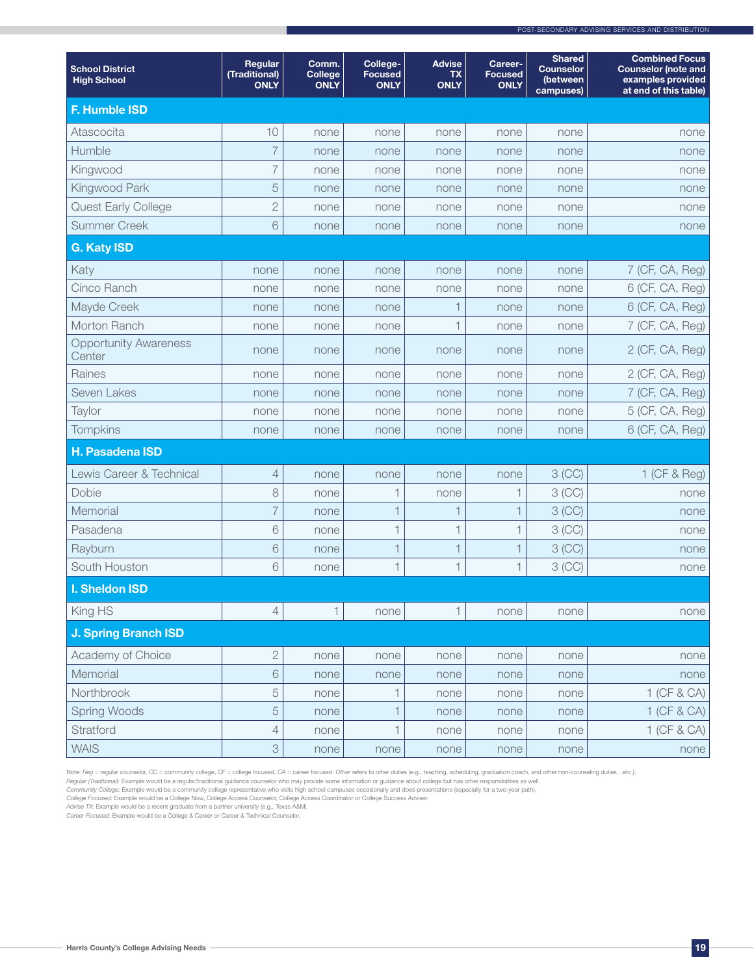| <b>School District</b><br><b>High School</b> | Regular<br>(Traditional)<br><b>ONLY</b> | Comm.<br><b>College</b><br><b>ONLY</b> | College-<br><b>Focused</b><br><b>ONLY</b> | <b>Advise</b><br>ТX<br><b>ONLY</b> | Career-<br><b>Focused</b><br><b>ONLY</b> | <b>Shared</b><br><b>Counselor</b><br>(between<br>campuses) | <b>Combined Focus</b><br><b>Counselor (note and</b><br>examples provided<br>at end of this table) |
|----------------------------------------------|-----------------------------------------|----------------------------------------|-------------------------------------------|------------------------------------|------------------------------------------|------------------------------------------------------------|---------------------------------------------------------------------------------------------------|
| <b>F. Humble ISD</b>                         |                                         |                                        |                                           |                                    |                                          |                                                            |                                                                                                   |
| Atascocita                                   | 10                                      | none                                   | none                                      | none                               | none                                     | none                                                       | none                                                                                              |
| Humble                                       | 7                                       | none                                   | none                                      | none                               | none                                     | none                                                       | none                                                                                              |
| Kingwood                                     | $\overline{7}$                          | none                                   | none                                      | none                               | none                                     | none                                                       | none                                                                                              |
| Kingwood Park                                | 5                                       | none                                   | none                                      | none                               | none                                     | none                                                       | none                                                                                              |
| Quest Early College                          | $\overline{2}$                          | none                                   | none                                      | none                               | none                                     | none                                                       | none                                                                                              |
| <b>Summer Creek</b>                          | 6                                       | none                                   | none                                      | none                               | none                                     | none                                                       | none                                                                                              |
| <b>G. Katy ISD</b>                           |                                         |                                        |                                           |                                    |                                          |                                                            |                                                                                                   |
| Katy                                         | none                                    | none                                   | none                                      | none                               | none                                     | none                                                       | 7 (CF, CA, Reg)                                                                                   |
| Cinco Ranch                                  | none                                    | none                                   | none                                      | none                               | none                                     | none                                                       | 6 (CF, CA, Reg)                                                                                   |
| Mayde Creek                                  | none                                    | none                                   | none                                      | 1                                  | none                                     | none                                                       | 6 (CF, CA, Reg)                                                                                   |
| Morton Ranch                                 | none                                    | none                                   | none                                      | $\mathbf{1}$                       | none                                     | none                                                       | 7 (CF, CA, Reg)                                                                                   |
| <b>Opportunity Awareness</b><br>Center       | none                                    | none                                   | none                                      | none                               | none                                     | none                                                       | 2 (CF, CA, Reg)                                                                                   |
| Raines                                       | none                                    | none                                   | none                                      | none                               | none                                     | none                                                       | 2 (CF, CA, Reg)                                                                                   |
| Seven Lakes                                  | none                                    | none                                   | none                                      | none                               | none                                     | none                                                       | 7 (CF, CA, Reg)                                                                                   |
| Taylor                                       | none                                    | none                                   | none                                      | none                               | none                                     | none                                                       | 5 (CF, CA, Reg)                                                                                   |
| <b>Tompkins</b>                              | none                                    | none                                   | none                                      | none                               | none                                     | none                                                       | 6 (CF, CA, Reg)                                                                                   |
| H. Pasadena ISD                              |                                         |                                        |                                           |                                    |                                          |                                                            |                                                                                                   |
| Lewis Career & Technical                     | $\overline{4}$                          | none                                   | none                                      | none                               | none                                     | $3$ (CC)                                                   | 1 (CF & Reg)                                                                                      |
| Dobie                                        | 8                                       | none                                   | 1                                         | none                               | 1                                        | $3$ (CC)                                                   | none                                                                                              |
| Memorial                                     | $\overline{7}$                          | none                                   | 1                                         | 1                                  | 1                                        | $3$ (CC)                                                   | none                                                                                              |
| Pasadena                                     | 6                                       | none                                   | 1                                         | 1                                  | 1                                        | $3$ (CC)                                                   | none                                                                                              |
| Rayburn                                      | 6                                       | none                                   | 1                                         | 1                                  | 1                                        | $3$ (CC)                                                   | none                                                                                              |
| South Houston                                | 6                                       | none                                   | 1                                         | 1                                  | 1                                        | $3$ (CC)                                                   | none                                                                                              |
| <b>I. Sheldon ISD</b>                        |                                         |                                        |                                           |                                    |                                          |                                                            |                                                                                                   |
| King HS                                      | $\overline{4}$                          | 1                                      | none                                      | 1                                  | none                                     | none                                                       | none                                                                                              |
| <b>J. Spring Branch ISD</b>                  |                                         |                                        |                                           |                                    |                                          |                                                            |                                                                                                   |
| Academy of Choice                            | $\sqrt{2}$                              | none                                   | none                                      | none                               | none                                     | none                                                       | none                                                                                              |
| Memorial                                     | $\mathsf{\scriptstyle G}$               | none                                   | none                                      | none                               | none                                     | none                                                       | none                                                                                              |
| Northbrook                                   | 5                                       | none                                   | 1                                         | none                               | none                                     | none                                                       | 1 (CF & CA)                                                                                       |
| <b>Spring Woods</b>                          | 5                                       | none                                   | 1                                         | none                               | none                                     | none                                                       | 1 (CF & CA)                                                                                       |
| Stratford                                    | $\overline{4}$                          | none                                   | 1                                         | none                               | none                                     | none                                                       | 1 (CF & CA)                                                                                       |
| <b>WAIS</b>                                  | $\Im$                                   | none                                   | none                                      | none                               | none                                     | none                                                       | none                                                                                              |

Note: Reg = regular counselor, CC = community college, CF = college focused, CA = career focused. Other refers to other duties (e.g., teaching, scheduling, graduation coach, and other non-counseling duties...etc.).<br>Regular

*Community College:* Example would be a community college representative who visits high school campuses occasionally and does presentations (especially for a two-year path).<br>College Focused: Example would be a College Now

*Career Focused:* Example would be a College & Career or Career & Technical Counselor.

POST-SECONDARY ADVISING SERVICES AND DISTRIBUTION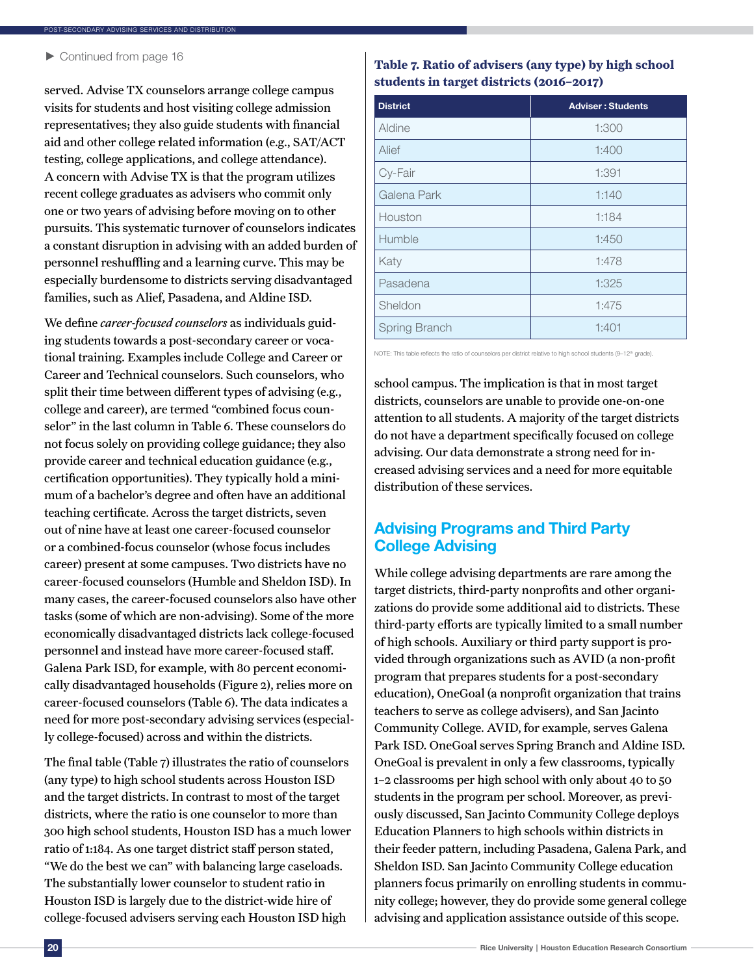POST-SECONDARY ADVISING SERVICES AND DISTRIBUTION

served. Advise TX counselors arrange college campus visits for students and host visiting college admission representatives; they also guide students with financial aid and other college related information (e.g., SAT/ACT testing, college applications, and college attendance). A concern with Advise TX is that the program utilizes recent college graduates as advisers who commit only one or two years of advising before moving on to other pursuits. This systematic turnover of counselors indicates a constant disruption in advising with an added burden of personnel reshuffling and a learning curve. This may be especially burdensome to districts serving disadvantaged families, such as Alief, Pasadena, and Aldine ISD.

We define *career-focused counselors* as individuals guiding students towards a post-secondary career or vocational training. Examples include College and Career or Career and Technical counselors. Such counselors, who split their time between different types of advising (e.g., college and career), are termed "combined focus counselor" in the last column in Table 6. These counselors do not focus solely on providing college guidance; they also provide career and technical education guidance (e.g., certification opportunities). They typically hold a minimum of a bachelor's degree and often have an additional teaching certificate. Across the target districts, seven out of nine have at least one career-focused counselor or a combined-focus counselor (whose focus includes career) present at some campuses. Two districts have no career-focused counselors (Humble and Sheldon ISD). In many cases, the career-focused counselors also have other tasks (some of which are non-advising). Some of the more economically disadvantaged districts lack college-focused personnel and instead have more career-focused staff. Galena Park ISD, for example, with 80 percent economically disadvantaged households (Figure 2), relies more on career-focused counselors (Table 6). The data indicates a need for more post-secondary advising services (especially college-focused) across and within the districts.

The final table (Table 7) illustrates the ratio of counselors (any type) to high school students across Houston ISD and the target districts. In contrast to most of the target districts, where the ratio is one counselor to more than 300 high school students, Houston ISD has a much lower ratio of 1:184. As one target district staff person stated, "We do the best we can" with balancing large caseloads. The substantially lower counselor to student ratio in Houston ISD is largely due to the district-wide hire of college-focused advisers serving each Houston ISD high

### **Table 7. Ratio of advisers (any type) by high school students in target districts (2016–2017)**

| <b>District</b> | <b>Adviser: Students</b> |
|-----------------|--------------------------|
| Aldine          | 1:300                    |
| Alief           | 1:400                    |
| Cy-Fair         | 1:391                    |
| Galena Park     | 1:140                    |
| Houston         | 1:184                    |
| Humble          | 1:450                    |
| Katy            | 1:478                    |
| Pasadena        | 1:325                    |
| Sheldon         | 1:475                    |
| Spring Branch   | 1:401                    |

NOTE: This table reflects the ratio of counselors per district relative to high school students (9-12<sup>th</sup> grade).

school campus. The implication is that in most target districts, counselors are unable to provide one-on-one attention to all students. A majority of the target districts do not have a department specifically focused on college advising. Our data demonstrate a strong need for increased advising services and a need for more equitable distribution of these services.

### Advising Programs and Third Party College Advising

While college advising departments are rare among the target districts, third-party nonprofits and other organizations do provide some additional aid to districts. These third-party efforts are typically limited to a small number of high schools. Auxiliary or third party support is provided through organizations such as AVID (a non-profit program that prepares students for a post-secondary education), OneGoal (a nonprofit organization that trains teachers to serve as college advisers), and San Jacinto Community College. AVID, for example, serves Galena Park ISD. OneGoal serves Spring Branch and Aldine ISD. OneGoal is prevalent in only a few classrooms, typically 1–2 classrooms per high school with only about 40 to 50 students in the program per school. Moreover, as previously discussed, San Jacinto Community College deploys Education Planners to high schools within districts in their feeder pattern, including Pasadena, Galena Park, and Sheldon ISD. San Jacinto Community College education planners focus primarily on enrolling students in community college; however, they do provide some general college advising and application assistance outside of this scope.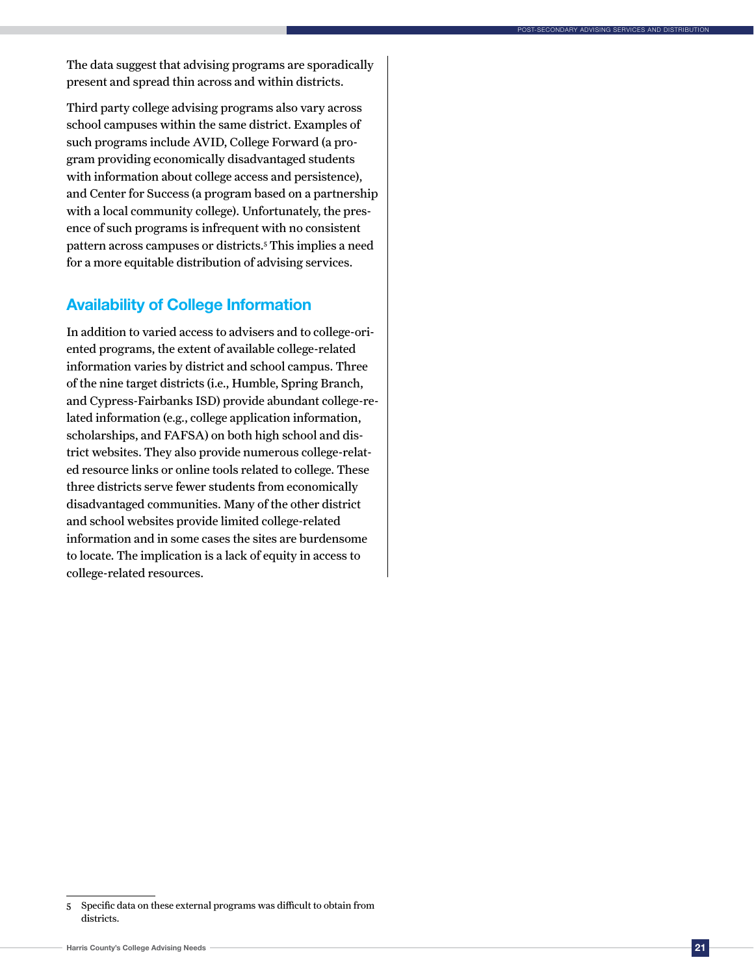The data suggest that advising programs are sporadically present and spread thin across and within districts.

Third party college advising programs also vary across school campuses within the same district. Examples of such programs include AVID, College Forward (a program providing economically disadvantaged students with information about college access and persistence), and Center for Success (a program based on a partnership with a local community college). Unfortunately, the presence of such programs is infrequent with no consistent pattern across campuses or districts.<sup>5</sup> This implies a need for a more equitable distribution of advising services.

### Availability of College Information

In addition to varied access to advisers and to college-oriented programs, the extent of available college-related information varies by district and school campus. Three of the nine target districts (i.e., Humble, Spring Branch, and Cypress-Fairbanks ISD) provide abundant college-related information (e.g., college application information, scholarships, and FAFSA) on both high school and district websites. They also provide numerous college-related resource links or online tools related to college. These three districts serve fewer students from economically disadvantaged communities. Many of the other district and school websites provide limited college-related information and in some cases the sites are burdensome to locate. The implication is a lack of equity in access to college-related resources.

POST-SECONDARY ADVISING SERVICES AND DISTRIBUTION

<sup>5</sup> Specific data on these external programs was difficult to obtain from districts.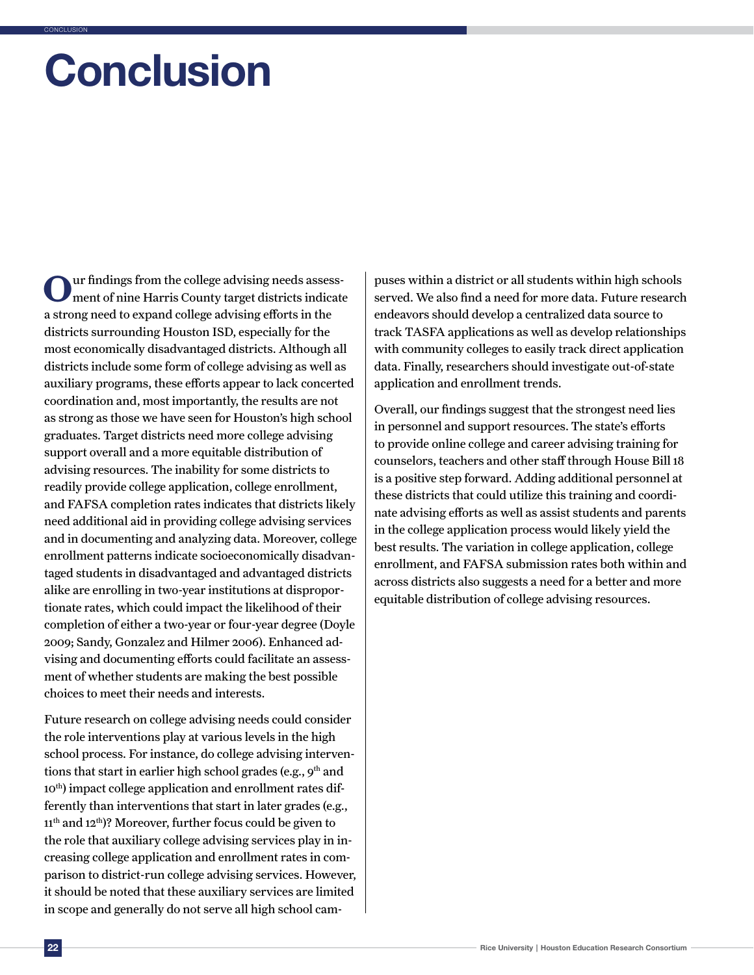## **Conclusion**

CONCLUSION

**O**ur findings from the college advising needs assess-ment of nine Harris County target districts indicate a strong need to expand college advising efforts in the districts surrounding Houston ISD, especially for the most economically disadvantaged districts. Although all districts include some form of college advising as well as auxiliary programs, these efforts appear to lack concerted coordination and, most importantly, the results are not as strong as those we have seen for Houston's high school graduates. Target districts need more college advising support overall and a more equitable distribution of advising resources. The inability for some districts to readily provide college application, college enrollment, and FAFSA completion rates indicates that districts likely need additional aid in providing college advising services and in documenting and analyzing data. Moreover, college enrollment patterns indicate socioeconomically disadvantaged students in disadvantaged and advantaged districts alike are enrolling in two-year institutions at disproportionate rates, which could impact the likelihood of their completion of either a two-year or four-year degree (Doyle 2009; Sandy, Gonzalez and Hilmer 2006). Enhanced advising and documenting efforts could facilitate an assessment of whether students are making the best possible choices to meet their needs and interests.

Future research on college advising needs could consider the role interventions play at various levels in the high school process. For instance, do college advising interventions that start in earlier high school grades (e.g.,  $9<sup>th</sup>$  and 10th) impact college application and enrollment rates differently than interventions that start in later grades (e.g.,  $11<sup>th</sup>$  and  $12<sup>th</sup>$ ? Moreover, further focus could be given to the role that auxiliary college advising services play in increasing college application and enrollment rates in comparison to district-run college advising services. However, it should be noted that these auxiliary services are limited in scope and generally do not serve all high school campuses within a district or all students within high schools served. We also find a need for more data. Future research endeavors should develop a centralized data source to track TASFA applications as well as develop relationships with community colleges to easily track direct application data. Finally, researchers should investigate out-of-state application and enrollment trends.

Overall, our findings suggest that the strongest need lies in personnel and support resources. The state's efforts to provide online college and career advising training for counselors, teachers and other staff through House Bill 18 is a positive step forward. Adding additional personnel at these districts that could utilize this training and coordinate advising efforts as well as assist students and parents in the college application process would likely yield the best results. The variation in college application, college enrollment, and FAFSA submission rates both within and across districts also suggests a need for a better and more equitable distribution of college advising resources.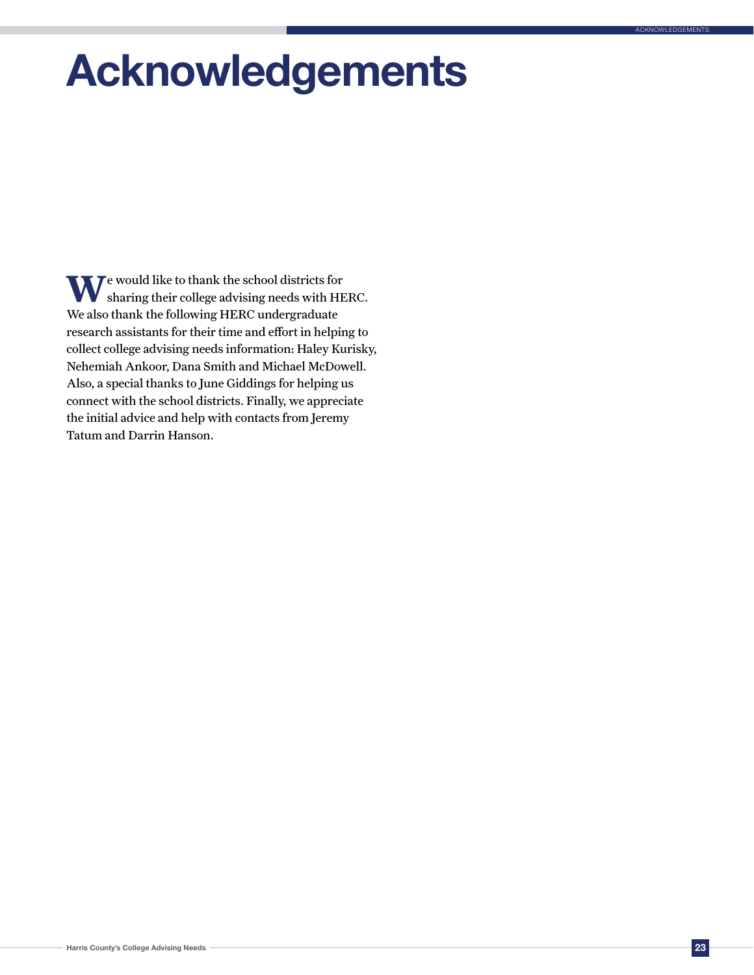# Acknowledgements

**W**e would like to thank the school districts for sharing their college advising needs with HERC. We also thank the following HERC undergraduate research assistants for their time and effort in helping to collect college advising needs information: Haley Kurisky, Nehemiah Ankoor, Dana Smith and Michael McDowell. Also, a special thanks to June Giddings for helping us connect with the school districts. Finally, we appreciate the initial advice and help with contacts from Jeremy Tatum and Darrin Hanson.

ACKNOWLEDGEMENTS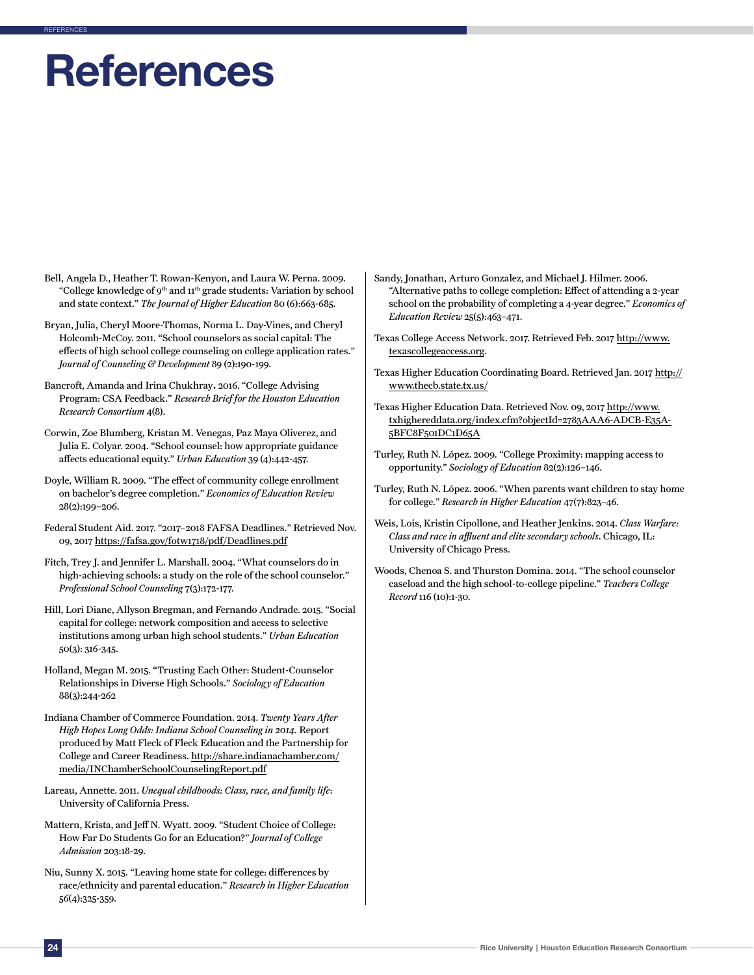## References

- Bell, Angela D., Heather T. Rowan-Kenyon, and Laura W. Perna. 2009. "College knowledge of 9<sup>th</sup> and 11<sup>th</sup> grade students: Variation by school and state context." *The Journal of Higher Education* 80 (6):663-685.
- Bryan, Julia, Cheryl Moore-Thomas, Norma L. Day-Vines, and Cheryl Holcomb-McCoy. 2011. "School counselors as social capital: The effects of high school college counseling on college application rates." *Journal of Counseling & Development* 89 (2):190-199.
- Bancroft, Amanda and Irina Chukhray**.** 2016. "College Advising Program: CSA Feedback." *Research Brief for the Houston Education Research Consortium* 4(8).
- Corwin, Zoe Blumberg, Kristan M. Venegas, Paz Maya Oliverez, and Julia E. Colyar. 2004. "School counsel: how appropriate guidance affects educational equity." *Urban Education* 39 (4):442-457.
- Doyle, William R. 2009. "The effect of community college enrollment on bachelor's degree completion." *Economics of Education Review* 28(2):199–206.
- Federal Student Aid. 2017. "2017–2018 FAFSA Deadlines." Retrieved Nov. 09, 2017<https://fafsa.gov/fotw1718/pdf/Deadlines.pdf>
- Fitch, Trey J. and Jennifer L. Marshall. 2004. "What counselors do in high-achieving schools: a study on the role of the school counselor." *Professional School Counseling* 7(3):172-177.
- Hill, Lori Diane, Allyson Bregman, and Fernando Andrade. 2015. "Social capital for college: network composition and access to selective institutions among urban high school students." *Urban Education* 50(3): 316-345.
- Holland, Megan M. 2015. "Trusting Each Other: Student-Counselor Relationships in Diverse High Schools." *Sociology of Education* 88(3):244-262
- Indiana Chamber of Commerce Foundation. 2014. *Twenty Years After High Hopes Long Odds: Indiana School Counseling in 2014.* Report produced by Matt Fleck of Fleck Education and the Partnership for College and Career Readiness. [http://share.indianachamber.com/](http://share.indianachamber.com/media/INChamberSchoolCounselingReport.pdf) [media/INChamberSchoolCounselingReport.pdf](http://share.indianachamber.com/media/INChamberSchoolCounselingReport.pdf)
- Lareau, Annette. 2011. *Unequal childhoods: Class, race, and family life*: University of California Press.
- Mattern, Krista, and Jeff N. Wyatt. 2009. "Student Choice of College: How Far Do Students Go for an Education?" *Journal of College Admission* 203:18-29.
- Niu, Sunny X. 2015. "Leaving home state for college: differences by race/ethnicity and parental education." *Research in Higher Education* 56(4):325-359.
- Sandy, Jonathan, Arturo Gonzalez, and Michael J. Hilmer. 2006. "Alternative paths to college completion: Effect of attending a 2-year school on the probability of completing a 4-year degree." *Economics of Education Review* 25(5):463–471.
- Texas College Access Network. 2017. Retrieved Feb. 2017 [http://www.](http://www.texascollegeaccess.org) [texascollegeaccess.org.](http://www.texascollegeaccess.org)
- Texas Higher Education Coordinating Board. Retrieved Jan. 2017 [http://](http://www.thecb.state.tx.us/) [www.thecb.state.tx.us/](http://www.thecb.state.tx.us/)
- Texas Higher Education Data. Retrieved Nov. 09, 2017 [http://www.](http://www.txhighereddata.org/index.cfm?objectId=2783AAA6-ADCB-E35A-5BFC8F501DC1D65A) [txhighereddata.org/index.cfm?objectId=2783AAA6-ADCB-E35A-](http://www.txhighereddata.org/index.cfm?objectId=2783AAA6-ADCB-E35A-5BFC8F501DC1D65A)[5BFC8F501DC1D65A](http://www.txhighereddata.org/index.cfm?objectId=2783AAA6-ADCB-E35A-5BFC8F501DC1D65A)
- Turley, Ruth N. López. 2009. "College Proximity: mapping access to opportunity." *Sociology of Education* 82(2):126–146.
- Turley, Ruth N. López. 2006. "When parents want children to stay home for college." *Research in Higher Education* 47(7):823–46.
- Weis, Lois, Kristin Cipollone, and Heather Jenkins. 2014. *Class Warfare: Class and race in affluent and elite secondary schools*. Chicago, IL: University of Chicago Press.
- Woods, Chenoa S. and Thurston Domina. 2014. "The school counselor caseload and the high school-to-college pipeline." *Teachers College Record* 116 (10):1-30.